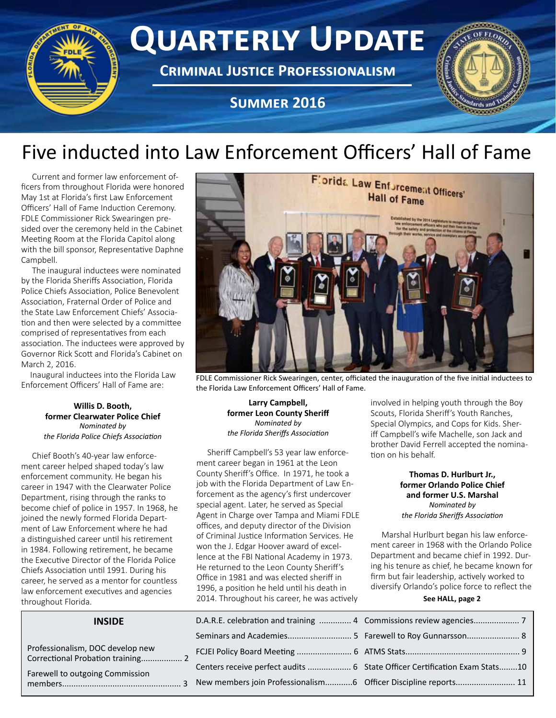

## Five inducted into Law Enforcement Officers' Hall of Fame

Current and former law enforcement officers from throughout Florida were honored May 1st at Florida's first Law Enforcement Officers' Hall of Fame Induction Ceremony. FDLE Commissioner Rick Swearingen presided over the ceremony held in the Cabinet Meeting Room at the Florida Capitol along with the bill sponsor, Representative Daphne Campbell.

The inaugural inductees were nominated by the Florida Sheriffs Association, Florida Police Chiefs Association, Police Benevolent Association, Fraternal Order of Police and the State Law Enforcement Chiefs' Association and then were selected by a committee comprised of representatives from each association. The inductees were approved by Governor Rick Scott and Florida's Cabinet on March 2, 2016.

Inaugural inductees into the Florida Law Enforcement Officers' Hall of Fame are:

#### **Willis D. Booth, former Clearwater Police Chief** *Nominated by the Florida Police Chiefs Association*

Chief Booth's 40-year law enforcement career helped shaped today's law enforcement community. He began his career in 1947 with the Clearwater Police Department, rising through the ranks to become chief of police in 1957. In 1968, he joined the newly formed Florida Department of Law Enforcement where he had a distinguished career until his retirement in 1984. Following retirement, he became the Executive Director of the Florida Police Chiefs Association until 1991. During his career, he served as a mentor for countless law enforcement executives and agencies throughout Florida.

#### **INSIDE**

Professionalism, DOC develop new Correctional Probation training.................. 2

Farewell to outgoing Commission members.................................................... 3



FDLE Commissioner Rick Swearingen, center, officiated the inauguration of the five initial inductees to the Florida Law Enforcement Officers' Hall of Fame.

**Larry Campbell, former Leon County Sheriff** *Nominated by the Florida Sheriffs Association*

Sheriff Campbell's 53 year law enforcement career began in 1961 at the Leon County Sheriff's Office. In 1971, he took a job with the Florida Department of Law Enforcement as the agency's first undercover special agent. Later, he served as Special Agent in Charge over Tampa and Miami FDLE offices, and deputy director of the Division of Criminal Justice Information Services. He won the J. Edgar Hoover award of excellence at the FBI National Academy in 1973. He returned to the Leon County Sheriff's Office in 1981 and was elected sheriff in 1996, a position he held until his death in 2014. Throughout his career, he was actively

| D.A.R.E. celebration and training  4 |
|--------------------------------------|
|                                      |
| FCJEI Policy Board Meeting  6        |
| Centers receive perfect audits  6    |
| New members join Professionalism6    |

involved in helping youth through the Boy Scouts, Florida Sheriff's Youth Ranches, Special Olympics, and Cops for Kids. Sheriff Campbell's wife Machelle, son Jack and brother David Ferrell accepted the nomination on his behalf.

> **Thomas D. Hurlburt Jr., former Orlando Police Chief and former U.S. Marshal** *Nominated by the Florida Sheriffs Association*

Marshal Hurlburt began his law enforcement career in 1968 with the Orlando Police Department and became chief in 1992. During his tenure as chief, he became known for firm but fair leadership, actively worked to diversify Orlando's police force to reflect the

#### **See HALL, page 2**

| State Officer Certification Exam Stats10 |
|------------------------------------------|
| Officer Discipline reports 11            |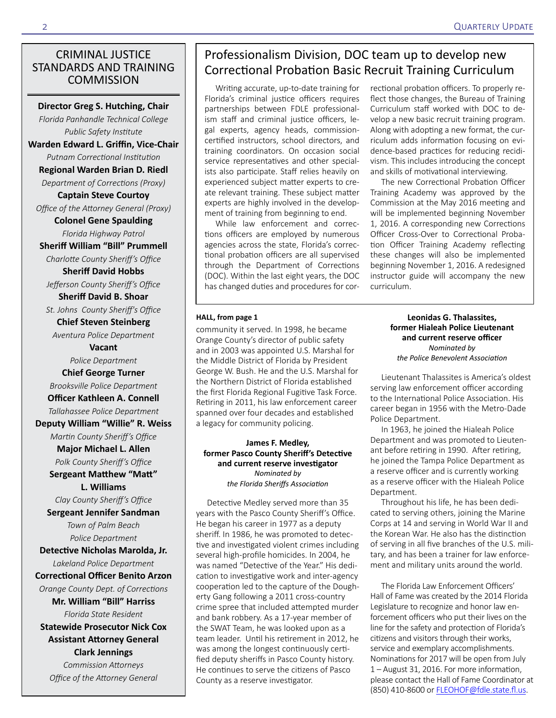#### CRIMINAL JUSTICE STANDARDS AND TRAINING **COMMISSION**

**Director Greg S. Hutching, Chair**

*Florida Panhandle Technical College Public Safety Institute* **Warden Edward L. Griffin, Vice-Chair**

*Putnam Correctional Institution* **Regional Warden Brian D. Riedl** *Department of Corrections (Proxy)*

**Captain Steve Courtoy** *Office of the Attorney General (Proxy)*

**Colonel Gene Spaulding** *Florida Highway Patrol*

**Sheriff William "Bill" Prummell** *Charlotte County Sheriff's Office*

**Sheriff David Hobbs**

*Jefferson County Sheriff's Office* **Sheriff David B. Shoar**

*St. Johns County Sheriff's Office*

**Chief Steven Steinberg** *Aventura Police Department*

> **Vacant** *Police Department*

**Chief George Turner**  *Brooksville Police Department*

**Officer Kathleen A. Connell** *Tallahassee Police Department*

**Deputy William "Willie" R. Weiss**

*Martin County Sheriff's Office* **Major Michael L. Allen**

*Polk County Sheriff's Office* **Sergeant Matthew "Matt"** 

**L. Williams**

*Clay County Sheriff's Office* **Sergeant Jennifer Sandman** *Town of Palm Beach Police Department*

**Detective Nicholas Marolda, Jr.**  *Lakeland Police Department*

#### **Correctional Officer Benito Arzon**

*Orange County Dept. of Corrections* **Mr. William "Bill" Harriss** *Florida State Resident*  **Statewide Prosecutor Nick Cox** 

**Assistant Attorney General Clark Jennings**

*Commission Attorneys Office of the Attorney General*

### Professionalism Division, DOC team up to develop new Correctional Probation Basic Recruit Training Curriculum

Writing accurate, up-to-date training for Florida's criminal justice officers requires partnerships between FDLE professionalism staff and criminal justice officers, legal experts, agency heads, commissioncertified instructors, school directors, and training coordinators. On occasion social service representatives and other specialists also participate. Staff relies heavily on experienced subject matter experts to create relevant training. These subject matter experts are highly involved in the development of training from beginning to end.

While law enforcement and corrections officers are employed by numerous agencies across the state, Florida's correctional probation officers are all supervised through the Department of Corrections (DOC). Within the last eight years, the DOC has changed duties and procedures for cor-

#### **HALL, from page 1**

community it served. In 1998, he became Orange County's director of public safety and in 2003 was appointed U.S. Marshal for the Middle District of Florida by President George W. Bush. He and the U.S. Marshal for the Northern District of Florida established the first Florida Regional Fugitive Task Force. Retiring in 2011, his law enforcement career spanned over four decades and established a legacy for community policing.

**James F. Medley, former Pasco County Sheriff's Detective and current reserve investigator** *Nominated by the Florida Sheriffs Association*

Detective Medley served more than 35 years with the Pasco County Sheriff's Office. He began his career in 1977 as a deputy sheriff. In 1986, he was promoted to detective and investigated violent crimes including several high-profile homicides. In 2004, he was named "Detective of the Year." His dedication to investigative work and inter-agency cooperation led to the capture of the Dougherty Gang following a 2011 cross-country crime spree that included attempted murder and bank robbery. As a 17-year member of the SWAT Team, he was looked upon as a team leader. Until his retirement in 2012, he was among the longest continuously certified deputy sheriffs in Pasco County history. He continues to serve the citizens of Pasco County as a reserve investigator.

rectional probation officers. To properly reflect those changes, the Bureau of Training Curriculum staff worked with DOC to develop a new basic recruit training program. Along with adopting a new format, the curriculum adds information focusing on evidence-based practices for reducing recidivism. This includes introducing the concept and skills of motivational interviewing.

The new Correctional Probation Officer Training Academy was approved by the Commission at the May 2016 meeting and will be implemented beginning November 1, 2016. A corresponding new Corrections Officer Cross-Over to Correctional Probation Officer Training Academy reflecting these changes will also be implemented beginning November 1, 2016. A redesigned instructor guide will accompany the new curriculum.

#### **Leonidas G. Thalassites, former Hialeah Police Lieutenant and current reserve officer** *Nominated by the Police Benevolent Association*

Lieutenant Thalassites is America's oldest serving law enforcement officer according to the International Police Association. His career began in 1956 with the Metro-Dade Police Department.

In 1963, he joined the Hialeah Police Department and was promoted to Lieutenant before retiring in 1990. After retiring, he joined the Tampa Police Department as a reserve officer and is currently working as a reserve officer with the Hialeah Police Department.

Throughout his life, he has been dedicated to serving others, joining the Marine Corps at 14 and serving in World War II and the Korean War. He also has the distinction of serving in all five branches of the U.S. military, and has been a trainer for law enforcement and military units around the world.

The Florida Law Enforcement Officers' Hall of Fame was created by the 2014 Florida Legislature to recognize and honor law enforcement officers who put their lives on the line for the safety and protection of Florida's citizens and visitors through their works, service and exemplary accomplishments. Nominations for 2017 will be open from July 1 – August 31, 2016. For more information, please contact the Hall of Fame Coordinator at (850) 410-8600 or [FLEOHOF@fdle.state.fl.us](mailto:FLEOHOF@fdle.state.fl.us).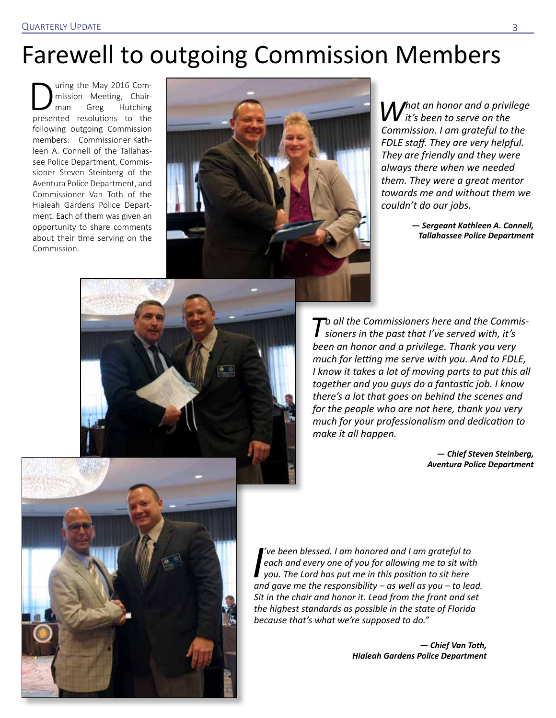# Farewell to outgoing Commission Members

uring the May 2016 Com-<br>mission Meeting, Chair-<br>man Greg Hutching mission Meeting, Chair-Hutching presented resolutions to the following outgoing Commission members: Commissioner Kathleen A. Connell of the Tallahassee Police Department, Commissioner Steven Steinberg of the Aventura Police Department, and Commissioner Van Toth of the Hialeah Gardens Police Department. Each of them was given an opportunity to share comments about their time serving on the Commission.



*What an honor and a privilege it's been to serve on the Commission. I am grateful to the FDLE staff. They are very helpful. They are friendly and they were always there when we needed them. They were a great mentor towards me and without them we couldn't do our jobs.*

> *— Sergeant Kathleen A. Connell, Tallahassee Police Department*



*To all the Commissioners here and the Commis-sioners in the past that I've served with, it's been an honor and a privilege. Thank you very much for letting me serve with you. And to FDLE, I know it takes a lot of moving parts to put this all together and you guys do a fantastic job. I know there's a lot that goes on behind the scenes and for the people who are not here, thank you very much for your professionalism and dedication to make it all happen.*

> *— Chief Steven Steinberg, Aventura Police Department*



*I* ve been blessed. I am honored and I am grateful to each and every one of you for allowing me to sit with you. The Lord has put me in this position to sit here and gave me the responsibility – as well as you – to lead. *'ve been blessed. I am honored and I am grateful to each and every one of you for allowing me to sit with you. The Lord has put me in this position to sit here Sit in the chair and honor it. Lead from the front and set the highest standards as possible in the state of Florida because that's what we're supposed to do."* 

> *— Chief Van Toth, Hialeah Gardens Police Department*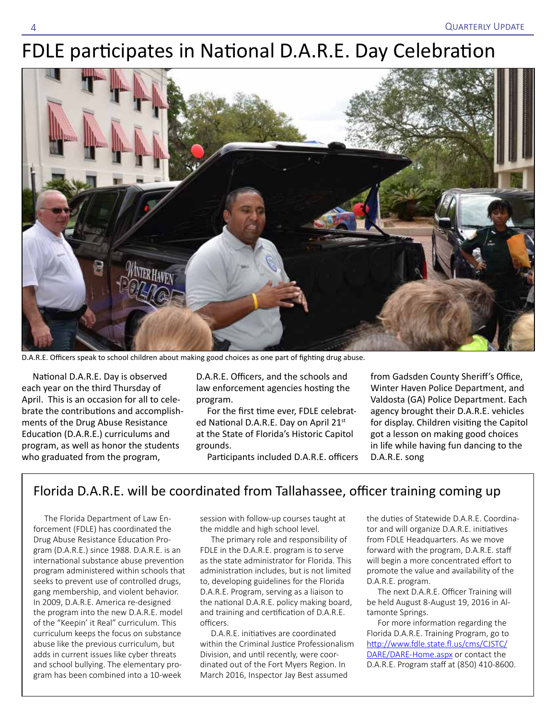# FDLE participates in National D.A.R.E. Day Celebration



D.A.R.E. Officers speak to school children about making good choices as one part of fighting drug abuse.

National D.A.R.E. Day is observed each year on the third Thursday of April. This is an occasion for all to celebrate the contributions and accomplishments of the Drug Abuse Resistance Education (D.A.R.E.) curriculums and program, as well as honor the students who graduated from the program,

D.A.R.E. Officers, and the schools and law enforcement agencies hosting the program.

For the first time ever, FDLE celebrated National D.A.R.E. Day on April 21st at the State of Florida's Historic Capitol grounds.

Participants included D.A.R.E. officers

from Gadsden County Sheriff's Office, Winter Haven Police Department, and Valdosta (GA) Police Department. Each agency brought their D.A.R.E. vehicles for display. Children visiting the Capitol got a lesson on making good choices in life while having fun dancing to the D.A.R.E. song

#### Florida D.A.R.E. will be coordinated from Tallahassee, officer training coming up

The Florida Department of Law Enforcement (FDLE) has coordinated the Drug Abuse Resistance Education Program (D.A.R.E.) since 1988. D.A.R.E. is an international substance abuse prevention program administered within schools that seeks to prevent use of controlled drugs, gang membership, and violent behavior. In 2009, D.A.R.E. America re-designed the program into the new D.A.R.E. model of the "Keepin' it Real" curriculum. This curriculum keeps the focus on substance abuse like the previous curriculum, but adds in current issues like cyber threats and school bullying. The elementary program has been combined into a 10-week

session with follow-up courses taught at the middle and high school level.

The primary role and responsibility of FDLE in the D.A.R.E. program is to serve as the state administrator for Florida. This administration includes, but is not limited to, developing guidelines for the Florida D.A.R.E. Program, serving as a liaison to the national D.A.R.E. policy making board, and training and certification of D.A.R.E. officers.

D.A.R.E. initiatives are coordinated within the Criminal Justice Professionalism Division, and until recently, were coordinated out of the Fort Myers Region. In March 2016, Inspector Jay Best assumed

the duties of Statewide D.A.R.E. Coordinator and will organize D.A.R.E. initiatives from FDLE Headquarters. As we move forward with the program, D.A.R.E. staff will begin a more concentrated effort to promote the value and availability of the D.A.R.E. program.

The next D.A.R.E. Officer Training will be held August 8-August 19, 2016 in Altamonte Springs.

For more information regarding the Florida D.A.R.E. Training Program, go to [http://www.fdle.state.fl.us/cms/CJSTC/](http://www.fdle.state.fl.us/cms/CJSTC/DARE/DARE-Home.aspx) [DARE/DARE-Home.aspx](http://www.fdle.state.fl.us/cms/CJSTC/DARE/DARE-Home.aspx) or contact the D.A.R.E. Program staff at (850) 410-8600.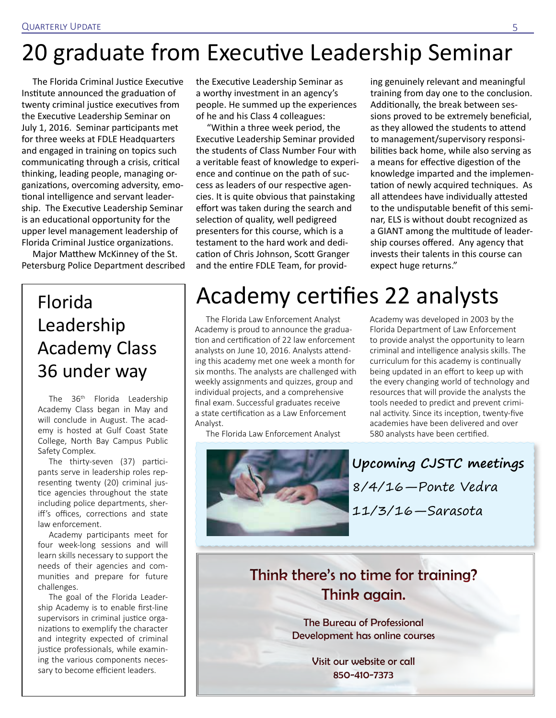# 20 graduate from Executive Leadership Seminar

The Florida Criminal Justice Executive Institute announced the graduation of twenty criminal justice executives from the Executive Leadership Seminar on July 1, 2016. Seminar participants met for three weeks at FDLE Headquarters and engaged in training on topics such communicating through a crisis, critical thinking, leading people, managing organizations, overcoming adversity, emotional intelligence and servant leadership. The Executive Leadership Seminar is an educational opportunity for the upper level management leadership of Florida Criminal Justice organizations.

Major Matthew McKinney of the St. Petersburg Police Department described

# Florida Leadership Academy Class 36 under way

The 36<sup>th</sup> Florida Leadership Academy Class began in May and will conclude in August. The academy is hosted at Gulf Coast State College, North Bay Campus Public Safety Complex.

The thirty-seven (37) participants serve in leadership roles representing twenty (20) criminal justice agencies throughout the state including police departments, sheriff's offices, corrections and state law enforcement.

Academy participants meet for four week-long sessions and will learn skills necessary to support the needs of their agencies and communities and prepare for future challenges.

The goal of the Florida Leadership Academy is to enable first-line supervisors in criminal justice organizations to exemplify the character and integrity expected of criminal justice professionals, while examining the various components necessary to become efficient leaders.

the Executive Leadership Seminar as a worthy investment in an agency's people. He summed up the experiences of he and his Class 4 colleagues:

"Within a three week period, the Executive Leadership Seminar provided the students of Class Number Four with a veritable feast of knowledge to experience and continue on the path of success as leaders of our respective agencies. It is quite obvious that painstaking effort was taken during the search and selection of quality, well pedigreed presenters for this course, which is a testament to the hard work and dedication of Chris Johnson, Scott Granger and the entire FDLE Team, for providing genuinely relevant and meaningful training from day one to the conclusion. Additionally, the break between sessions proved to be extremely beneficial, as they allowed the students to attend to management/supervisory responsibilities back home, while also serving as a means for effective digestion of the knowledge imparted and the implementation of newly acquired techniques. As all attendees have individually attested to the undisputable benefit of this seminar, ELS is without doubt recognized as a GIANT among the multitude of leadership courses offered. Any agency that invests their talents in this course can expect huge returns."

# Academy certifies 22 analysts

The Florida Law Enforcement Analyst Academy is proud to announce the graduation and certification of 22 law enforcement analysts on June 10, 2016. Analysts attending this academy met one week a month for six months. The analysts are challenged with weekly assignments and quizzes, group and individual projects, and a comprehensive final exam. Successful graduates receive a state certification as a Law Enforcement Analyst.

The Florida Law Enforcement Analyst



Academy was developed in 2003 by the Florida Department of Law Enforcement to provide analyst the opportunity to learn criminal and intelligence analysis skills. The curriculum for this academy is continually being updated in an effort to keep up with the every changing world of technology and resources that will provide the analysts the tools needed to predict and prevent criminal activity. Since its inception, twenty-five academies have been delivered and over 580 analysts have been certified.

**Upcoming CJSTC meetings** 8/4/16—Ponte Vedra 11/3/16—Sarasota

### Think there's no time for training? Think again.

The Bureau of Professional Development has online courses

> Visit our website or call 850-410-7373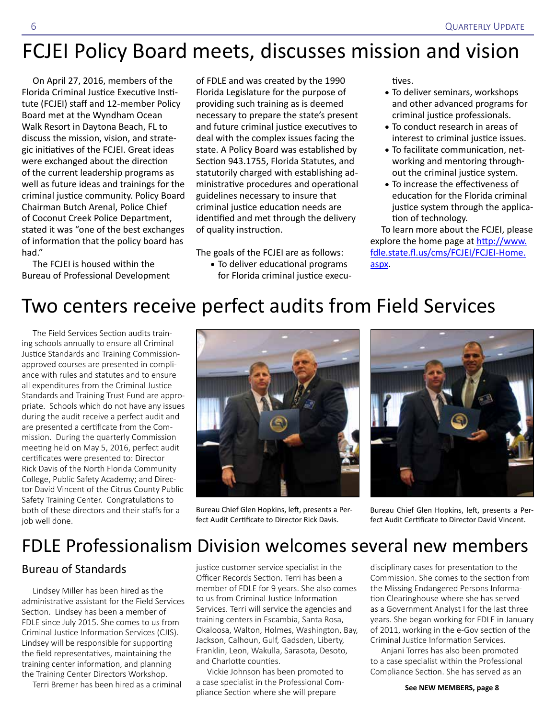# FCJEI Policy Board meets, discusses mission and vision

On April 27, 2016, members of the Florida Criminal Justice Executive Institute (FCJEI) staff and 12-member Policy Board met at the Wyndham Ocean Walk Resort in Daytona Beach, FL to discuss the mission, vision, and strategic initiatives of the FCJEI. Great ideas were exchanged about the direction of the current leadership programs as well as future ideas and trainings for the criminal justice community. Policy Board Chairman Butch Arenal, Police Chief of Coconut Creek Police Department, stated it was "one of the best exchanges of information that the policy board has had."

The FCJEI is housed within the Bureau of Professional Development of FDLE and was created by the 1990 Florida Legislature for the purpose of providing such training as is deemed necessary to prepare the state's present and future criminal justice executives to deal with the complex issues facing the state. A Policy Board was established by Section 943.1755, Florida Statutes, and statutorily charged with establishing administrative procedures and operational guidelines necessary to insure that criminal justice education needs are identified and met through the delivery of quality instruction.

The goals of the FCJEI are as follows: • To deliver educational programs for Florida criminal justice executives.

- To deliver seminars, workshops and other advanced programs for criminal justice professionals.
- To conduct research in areas of interest to criminal justice issues.
- To facilitate communication, networking and mentoring throughout the criminal justice system.
- To increase the effectiveness of education for the Florida criminal justice system through the application of technology.

To learn more about the FCJEI, please explore the home page at [http://www.](http://www.fdle.state.fl.us/cms/FCJEI/FCJEI-Home.aspx) [fdle.state.fl.us/cms/FCJEI/FCJEI-Home.](http://www.fdle.state.fl.us/cms/FCJEI/FCJEI-Home.aspx) [aspx.](http://www.fdle.state.fl.us/cms/FCJEI/FCJEI-Home.aspx)

# Two centers receive perfect audits from Field Services

The Field Services Section audits training schools annually to ensure all Criminal Justice Standards and Training Commissionapproved courses are presented in compliance with rules and statutes and to ensure all expenditures from the Criminal Justice Standards and Training Trust Fund are appropriate. Schools which do not have any issues during the audit receive a perfect audit and are presented a certificate from the Commission. During the quarterly Commission meeting held on May 5, 2016, perfect audit certificates were presented to: Director Rick Davis of the North Florida Community College, Public Safety Academy; and Director David Vincent of the Citrus County Public Safety Training Center. Congratulations to both of these directors and their staffs for a job well done.



Bureau Chief Glen Hopkins, left, presents a Perfect Audit Certificate to Director Rick Davis.



Bureau Chief Glen Hopkins, left, presents a Perfect Audit Certificate to Director David Vincent.

## FDLE Professionalism Division welcomes several new members

#### Bureau of Standards

Lindsey Miller has been hired as the administrative assistant for the Field Services Section. Lindsey has been a member of FDLE since July 2015. She comes to us from Criminal Justice Information Services (CJIS). Lindsey will be responsible for supporting the field representatives, maintaining the training center information, and planning the Training Center Directors Workshop.

Terri Bremer has been hired as a criminal

justice customer service specialist in the Officer Records Section. Terri has been a member of FDLE for 9 years. She also comes to us from Criminal Justice Information Services. Terri will service the agencies and training centers in Escambia, Santa Rosa, Okaloosa, Walton, Holmes, Washington, Bay, Jackson, Calhoun, Gulf, Gadsden, Liberty, Franklin, Leon, Wakulla, Sarasota, Desoto, and Charlotte counties.

Vickie Johnson has been promoted to a case specialist in the Professional Compliance Section where she will prepare

disciplinary cases for presentation to the Commission. She comes to the section from the Missing Endangered Persons Information Clearinghouse where she has served as a Government Analyst I for the last three years. She began working for FDLE in January of 2011, working in the e-Gov section of the Criminal Justice Information Services.

Anjani Torres has also been promoted to a case specialist within the Professional Compliance Section. She has served as an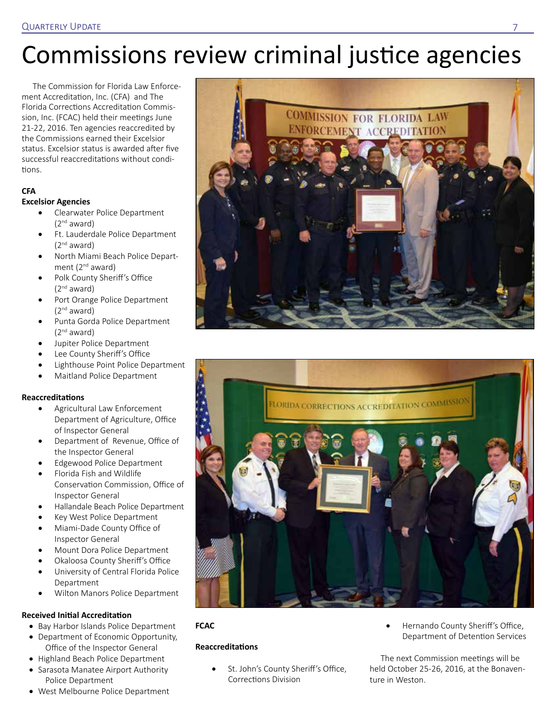# Commissions review criminal justice agencies

The Commission for Florida Law Enforcement Accreditation, Inc. (CFA) and The Florida Corrections Accreditation Commission, Inc. (FCAC) held their meetings June 21-22, 2016. Ten agencies reaccredited by the Commissions earned their Excelsior status. Excelsior status is awarded after five successful reaccreditations without conditions.

#### **CFA**

#### **Excelsior Agencies**

- Clearwater Police Department (2nd award)
- • Ft. Lauderdale Police Department  $(2<sup>nd</sup>$  award)
- North Miami Beach Police Department  $(2^{nd}$  award)
- Polk County Sheriff's Office  $(2<sup>nd</sup>$  award)
- Port Orange Police Department  $(2<sup>nd</sup>$  award)
- Punta Gorda Police Department  $(2<sup>nd</sup>$  award)
- Jupiter Police Department
- Lee County Sheriff's Office
- Lighthouse Point Police Department
- Maitland Police Department

#### **Reaccreditations**

- • Agricultural Law Enforcement Department of Agriculture, Office of Inspector General
- Department of Revenue, Office of the Inspector General
- **Edgewood Police Department**
- Florida Fish and Wildlife Conservation Commission, Office of Inspector General
- • Hallandale Beach Police Department
- Key West Police Department
- Miami-Dade County Office of Inspector General
- Mount Dora Police Department
- Okaloosa County Sheriff's Office
- University of Central Florida Police Department
- Wilton Manors Police Department

#### **Received Initial Accreditation**

- • Bay Harbor Islands Police Department
- Department of Economic Opportunity, Office of the Inspector General
- • Highland Beach Police Department
- Sarasota Manatee Airport Authority Police Department
- West Melbourne Police Department





#### **FCAC**

#### **Reaccreditations**

- St. John's County Sheriff's Office, Corrections Division
- Hernando County Sheriff's Office, Department of Detention Services

The next Commission meetings will be held October 25-26, 2016, at the Bonaventure in Weston.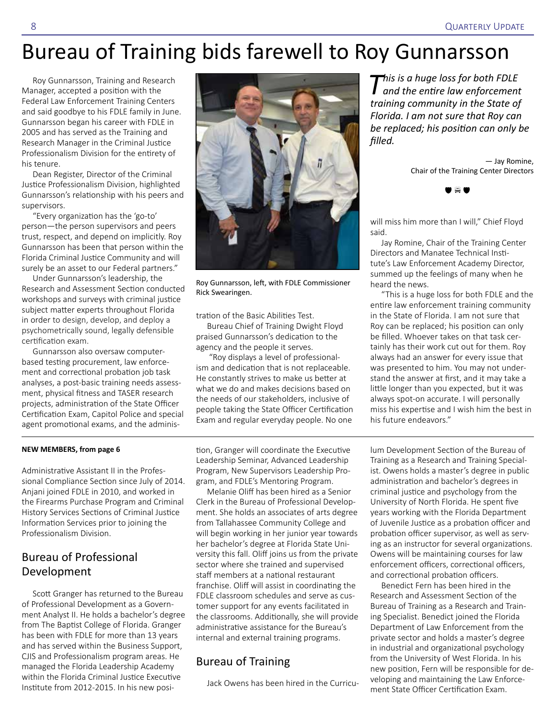# Bureau of Training bids farewell to Roy Gunnarsson

Roy Gunnarsson, Training and Research Manager, accepted a position with the Federal Law Enforcement Training Centers and said goodbye to his FDLE family in June. Gunnarsson began his career with FDLE in 2005 and has served as the Training and Research Manager in the Criminal Justice Professionalism Division for the entirety of his tenure.

Dean Register, Director of the Criminal Justice Professionalism Division, highlighted Gunnarsson's relationship with his peers and supervisors.

"Every organization has the 'go-to' person—the person supervisors and peers trust, respect, and depend on implicitly. Roy Gunnarsson has been that person within the Florida Criminal Justice Community and will surely be an asset to our Federal partners."

Under Gunnarsson's leadership, the Research and Assessment Section conducted workshops and surveys with criminal justice subject matter experts throughout Florida in order to design, develop, and deploy a psychometrically sound, legally defensible certification exam.

Gunnarsson also oversaw computerbased testing procurement, law enforcement and correctional probation job task analyses, a post-basic training needs assessment, physical fitness and TASER research projects, administration of the State Officer Certification Exam, Capitol Police and special agent promotional exams, and the adminis-



Roy Gunnarsson, left, with FDLE Commissioner Rick Swearingen.

tration of the Basic Abilities Test.

Bureau Chief of Training Dwight Floyd praised Gunnarsson's dedication to the agency and the people it serves.

 "Roy displays a level of professionalism and dedication that is not replaceable. He constantly strives to make us better at what we do and makes decisions based on the needs of our stakeholders, inclusive of people taking the State Officer Certification Exam and regular everyday people. No one

#### **NEW MEMBERS, from page 6**

Administrative Assistant II in the Professional Compliance Section since July of 2014. Anjani joined FDLE in 2010, and worked in the Firearms Purchase Program and Criminal History Services Sections of Criminal Justice Information Services prior to joining the Professionalism Division.

#### Bureau of Professional Development

Scott Granger has returned to the Bureau of Professional Development as a Government Analyst II. He holds a bachelor's degree from The Baptist College of Florida. Granger has been with FDLE for more than 13 years and has served within the Business Support, CJIS and Professionalism program areas. He managed the Florida Leadership Academy within the Florida Criminal Justice Executive Institute from 2012-2015. In his new posi-

tion, Granger will coordinate the Executive Leadership Seminar, Advanced Leadership Program, New Supervisors Leadership Program, and FDLE's Mentoring Program.

Melanie Oliff has been hired as a Senior Clerk in the Bureau of Professional Development. She holds an associates of arts degree from Tallahassee Community College and will begin working in her junior year towards her bachelor's degree at Florida State University this fall. Oliff joins us from the private sector where she trained and supervised staff members at a national restaurant franchise. Oliff will assist in coordinating the FDLE classroom schedules and serve as customer support for any events facilitated in the classrooms. Additionally, she will provide administrative assistance for the Bureau's internal and external training programs.

#### Bureau of Training

Jack Owens has been hired in the Curricu-

*This is a huge loss for both FDLE and the entire law enforcement training community in the State of Florida. I am not sure that Roy can be replaced; his position can only be filled.* 

> — Jay Romine, Chair of the Training Center Directors



will miss him more than I will," Chief Floyd said.

Jay Romine, Chair of the Training Center Directors and Manatee Technical Institute's Law Enforcement Academy Director, summed up the feelings of many when he heard the news.

"This is a huge loss for both FDLE and the entire law enforcement training community in the State of Florida. I am not sure that Roy can be replaced; his position can only be filled. Whoever takes on that task certainly has their work cut out for them. Roy always had an answer for every issue that was presented to him. You may not understand the answer at first, and it may take a little longer than you expected, but it was always spot-on accurate. I will personally miss his expertise and I wish him the best in his future endeavors."

lum Development Section of the Bureau of Training as a Research and Training Specialist. Owens holds a master's degree in public administration and bachelor's degrees in criminal justice and psychology from the University of North Florida. He spent five years working with the Florida Department of Juvenile Justice as a probation officer and probation officer supervisor, as well as serving as an instructor for several organizations. Owens will be maintaining courses for law enforcement officers, correctional officers, and correctional probation officers.

Benedict Fern has been hired in the Research and Assessment Section of the Bureau of Training as a Research and Training Specialist. Benedict joined the Florida Department of Law Enforcement from the private sector and holds a master's degree in industrial and organizational psychology from the University of West Florida. In his new position, Fern will be responsible for developing and maintaining the Law Enforcement State Officer Certification Exam.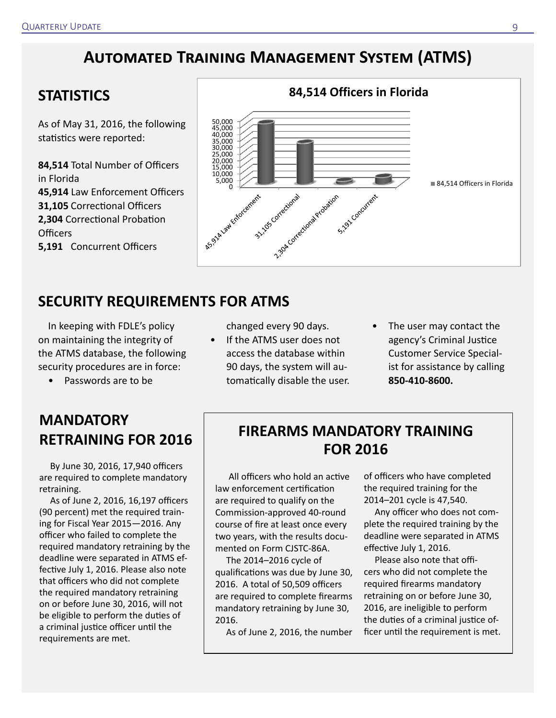### **Automated Training Management System (ATMS)**

### **STATISTICS**

As of May 31, 2016, the following statistics were reported:

**84,514** Total Number of Officers in Florida **45,914** Law Enforcement Officers **31,105** Correctional Officers **2,304** Correctional Probation Officers **5,191** Concurrent Officers



### **SECURITY REQUIREMENTS FOR ATMS**

In keeping with FDLE's policy on maintaining the integrity of the ATMS database, the following security procedures are in force:

• Passwords are to be

### **MANDATORY RETRAINING FOR 2016**

By June 30, 2016, 17,940 officers are required to complete mandatory retraining.

As of June 2, 2016, 16,197 officers (90 percent) met the required training for Fiscal Year 2015—2016. Any officer who failed to complete the required mandatory retraining by the deadline were separated in ATMS effective July 1, 2016. Please also note that officers who did not complete the required mandatory retraining on or before June 30, 2016, will not be eligible to perform the duties of a criminal justice officer until the requirements are met.

changed every 90 days.

- If the ATMS user does not access the database within 90 days, the system will automatically disable the user.
- The user may contact the agency's Criminal Justice Customer Service Specialist for assistance by calling **850-410-8600.**

### **FIREARMS MANDATORY TRAINING FOR 2016**

All officers who hold an active law enforcement certification are required to qualify on the Commission-approved 40-round course of fire at least once every two years, with the results documented on Form CJSTC-86A.

The 2014–2016 cycle of qualifications was due by June 30, 2016. A total of 50,509 officers are required to complete firearms mandatory retraining by June 30, 2016.

As of June 2, 2016, the number

of officers who have completed the required training for the 2014–201 cycle is 47,540.

Any officer who does not complete the required training by the deadline were separated in ATMS effective July 1, 2016.

Please also note that officers who did not complete the required firearms mandatory retraining on or before June 30, 2016, are ineligible to perform the duties of a criminal justice officer until the requirement is met.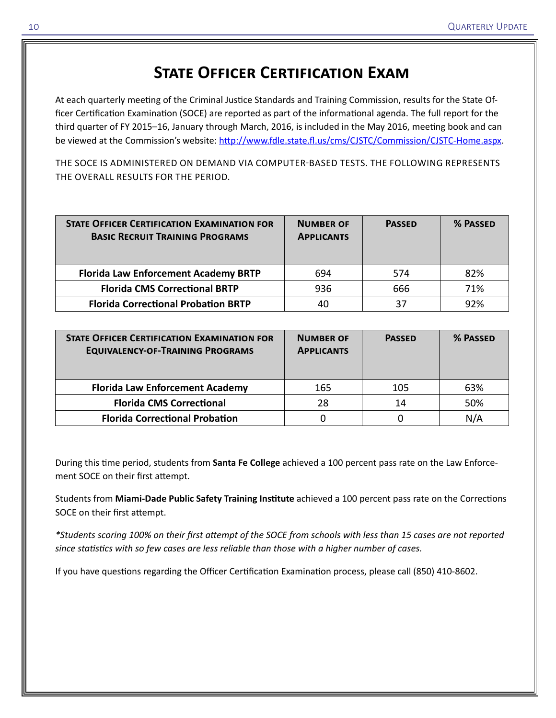### **STATE OFFICER CERTIFICATION EXAM**

At each quarterly meeting of the Criminal Justice Standards and Training Commission, results for the State Officer Certification Examination (SOCE) are reported as part of the informational agenda. The full report for the third quarter of FY 2015–16, January through March, 2016, is included in the May 2016, meeting book and can be viewed at the Commission's website:<http://www.fdle.state.fl.us/cms/CJSTC/Commission/CJSTC-Home.aspx>.

THE SOCE IS ADMINISTERED ON DEMAND VIA COMPUTER-BASED TESTS. THE FOLLOWING REPRESENTS THE OVERALL RESULTS FOR THE PERIOD.

| <b>STATE OFFICER CERTIFICATION EXAMINATION FOR</b><br><b>BASIC RECRUIT TRAINING PROGRAMS</b> | <b>NUMBER OF</b><br><b>APPLICANTS</b> | <b>PASSED</b> | % PASSED |
|----------------------------------------------------------------------------------------------|---------------------------------------|---------------|----------|
| <b>Florida Law Enforcement Academy BRTP</b>                                                  | 694                                   | 574           | 82%      |
| <b>Florida CMS Correctional BRTP</b>                                                         | 936                                   | 666           | 71%      |
| <b>Florida Correctional Probation BRTP</b>                                                   | 40                                    | 37            | 92%      |

| <b>STATE OFFICER CERTIFICATION EXAMINATION FOR</b><br><b>EQUIVALENCY-OF-TRAINING PROGRAMS</b> | <b>NUMBER OF</b><br><b>APPLICANTS</b> | <b>PASSED</b> | % PASSED |
|-----------------------------------------------------------------------------------------------|---------------------------------------|---------------|----------|
| <b>Florida Law Enforcement Academy</b>                                                        | 165                                   | 105           | 63%      |
| <b>Florida CMS Correctional</b>                                                               | 28                                    | 14            | 50%      |
| <b>Florida Correctional Probation</b>                                                         |                                       |               | N/A      |

During this time period, students from **Santa Fe College** achieved a 100 percent pass rate on the Law Enforcement SOCE on their first attempt.

Students from **Miami-Dade Public Safety Training Institute** achieved a 100 percent pass rate on the Corrections SOCE on their first attempt.

*\*Students scoring 100% on their first attempt of the SOCE from schools with less than 15 cases are not reported since statistics with so few cases are less reliable than those with a higher number of cases.*

If you have questions regarding the Officer Certification Examination process, please call (850) 410-8602.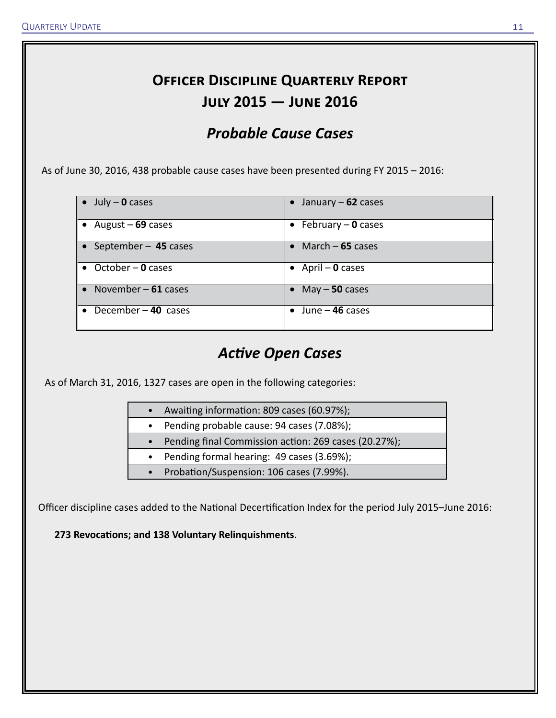### **Officer Discipline Quarterly Report July 2015 — June 2016**

### *Probable Cause Cases*

As of June 30, 2016, 438 probable cause cases have been presented during FY 2015 – 2016:

| $\bullet$ July – 0 cases    | • January $-62$ cases     |
|-----------------------------|---------------------------|
| $\bullet$ August – 69 cases | • February $-$ 0 cases    |
| • September - 45 cases      | • March $-65$ cases       |
| $\bullet$ October – 0 cases | $\bullet$ April – 0 cases |
| • November $-61$ cases      | • May $-50$ cases         |
| December $-40$ cases        | $\bullet$ June – 46 cases |

### *Active Open Cases*

As of March 31, 2016, 1327 cases are open in the following categories:

- Awaiting information: 809 cases (60.97%);
- Pending probable cause: 94 cases (7.08%);
- Pending final Commission action: 269 cases (20.27%);
- Pending formal hearing: 49 cases (3.69%);
- Probation/Suspension: 106 cases (7.99%).

Officer discipline cases added to the National Decertification Index for the period July 2015–June 2016:

**273 Revocations; and 138 Voluntary Relinquishments**.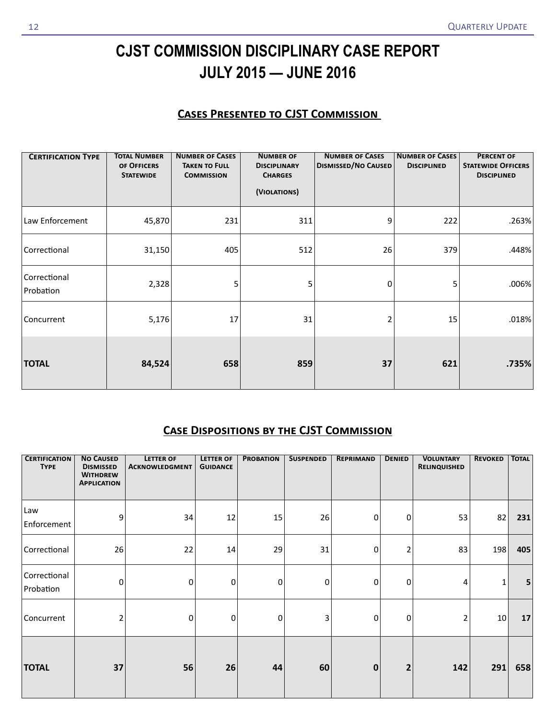## **CJST COMMISSION DISCIPLINARY CASE REPORT JULY 2015 — JUNE 2016**

#### **Cases Presented to CJST Commission**

| <b>CERTIFICATION TYPE</b> | <b>TOTAL NUMBER</b><br>OF OFFICERS<br><b>STATEWIDE</b> | <b>NUMBER OF CASES</b><br><b>TAKEN TO FULL</b><br><b>COMMISSION</b> | <b>NUMBER OF</b><br><b>DISCIPLINARY</b><br><b>CHARGES</b><br>(VIOLATIONS) | <b>NUMBER OF CASES</b><br><b>DISMISSED/NO CAUSED</b> | <b>NUMBER OF CASES</b><br><b>DISCIPLINED</b> | <b>PERCENT OF</b><br><b>STATEWIDE OFFICERS</b><br><b>DISCIPLINED</b> |
|---------------------------|--------------------------------------------------------|---------------------------------------------------------------------|---------------------------------------------------------------------------|------------------------------------------------------|----------------------------------------------|----------------------------------------------------------------------|
| Law Enforcement           | 45,870                                                 | 231                                                                 | 311                                                                       | 9                                                    | 222                                          | .263%                                                                |
| Correctional              | 31,150                                                 | 405                                                                 | 512                                                                       | 26                                                   | 379                                          | .448%                                                                |
| Correctional<br>Probation | 2,328                                                  | 5                                                                   | 5                                                                         | 0                                                    | 5                                            | .006%                                                                |
| Concurrent                | 5,176                                                  | 17                                                                  | 31                                                                        | $\overline{2}$                                       | 15                                           | .018%                                                                |
| <b>TOTAL</b>              | 84,524                                                 | 658                                                                 | 859                                                                       | 37                                                   | 621                                          | .735%                                                                |

### **Case Dispositions by the CJST Commission**

| <b>CERTIFICATION</b><br><b>TYPE</b> | <b>NO CAUSED</b><br><b>DISMISSED</b><br><b>WITHDREW</b><br><b>APPLICATION</b> | <b>LETTER OF</b><br><b>ACKNOWLEDGMENT</b> | <b>LETTER OF</b><br><b>GUIDANCE</b> | <b>PROBATION</b> | <b>SUSPENDED</b> | <b>REPRIMAND</b> | <b>DENIED</b>           | <b>VOLUNTARY</b><br>RELINQUISHED | <b>REVOKED</b> | <b>TOTAL</b> |
|-------------------------------------|-------------------------------------------------------------------------------|-------------------------------------------|-------------------------------------|------------------|------------------|------------------|-------------------------|----------------------------------|----------------|--------------|
| Law<br>Enforcement                  | 9                                                                             | 34                                        | 12                                  | 15               | 26               | 0                | $\bf{0}$                | 53                               | 82             | 231          |
| Correctional                        | 26                                                                            | 22                                        | 14                                  | 29               | 31               | 0                | 2                       | 83                               | 198            | 405          |
| Correctional<br>Probation           | 0                                                                             | 0                                         | 0                                   | 0                | 0                | $\Omega$         | 0                       | 4                                | 1              | 5            |
| Concurrent                          | 2                                                                             | 0                                         | 0                                   | 0                | 3                | 0                | 0                       | $\overline{2}$                   | $10\,$         | 17           |
| <b>TOTAL</b>                        | 37                                                                            | 56                                        | 26                                  | 44               | 60               | $\bf{0}$         | $\overline{\mathbf{2}}$ | 142                              | 291            | 658          |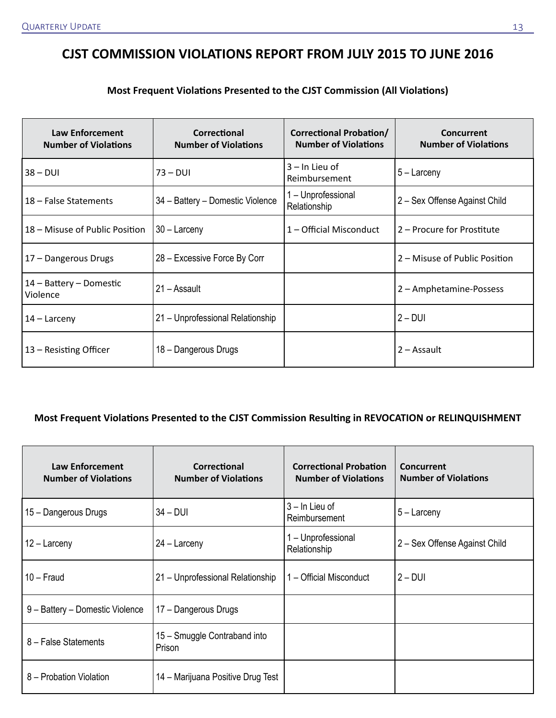### **CJST COMMISSION VIOLATIONS REPORT FROM JULY 2015 TO JUNE 2016**

#### **Most Frequent Violations Presented to the CJST Commission (All Violations)**

| <b>Law Enforcement</b><br><b>Number of Violations</b> | Correctional<br><b>Number of Violations</b> | <b>Correctional Probation/</b><br><b>Number of Violations</b> | Concurrent<br><b>Number of Violations</b> |
|-------------------------------------------------------|---------------------------------------------|---------------------------------------------------------------|-------------------------------------------|
| $38 - DUI$                                            | $73 - DUI$                                  | $3 -$ In Lieu of<br>Reimbursement                             | $5 -$ Larceny                             |
| 18 – False Statements                                 | 34 - Battery - Domestic Violence            | 1 – Unprofessional<br>Relationship                            | 2 – Sex Offense Against Child             |
| 18 – Misuse of Public Position                        | $30 -$ Larceny                              | 1 – Official Misconduct                                       | 2 – Procure for Prostitute                |
| 17 - Dangerous Drugs                                  | 28 - Excessive Force By Corr                |                                                               | 2 – Misuse of Public Position             |
| 14 – Battery – Domestic<br>Violence                   | 21 – Assault                                |                                                               | 2 - Amphetamine-Possess                   |
| $14$ – Larceny                                        | 21 - Unprofessional Relationship            |                                                               | $2 - DUI$                                 |
| 13 – Resisting Officer                                | 18 - Dangerous Drugs                        |                                                               | 2 – Assault                               |

#### **Most Frequent Violations Presented to the CJST Commission Resulting in REVOCATION or RELINQUISHMENT**

| <b>Law Enforcement</b><br><b>Number of Violations</b> | Correctional<br><b>Number of Violations</b> | <b>Correctional Probation</b><br><b>Number of Violations</b> | Concurrent<br><b>Number of Violations</b> |
|-------------------------------------------------------|---------------------------------------------|--------------------------------------------------------------|-------------------------------------------|
| 15 - Dangerous Drugs                                  | $34 - DUI$                                  | $3 - \ln$ Lieu of<br>Reimbursement                           | $5 -$ Larceny                             |
| $12 -$ Larceny                                        | $24 -$ Larceny                              | 1 - Unprofessional<br>Relationship                           | 2 – Sex Offense Against Child             |
| $10 -$ Fraud                                          | 21 - Unprofessional Relationship            | 1 – Official Misconduct                                      | $2 - DUI$                                 |
| 9 - Battery - Domestic Violence                       | 17 - Dangerous Drugs                        |                                                              |                                           |
| 8 - False Statements                                  | 15 - Smuggle Contraband into<br>Prison      |                                                              |                                           |
| 8 – Probation Violation                               | 14 – Marijuana Positive Drug Test           |                                                              |                                           |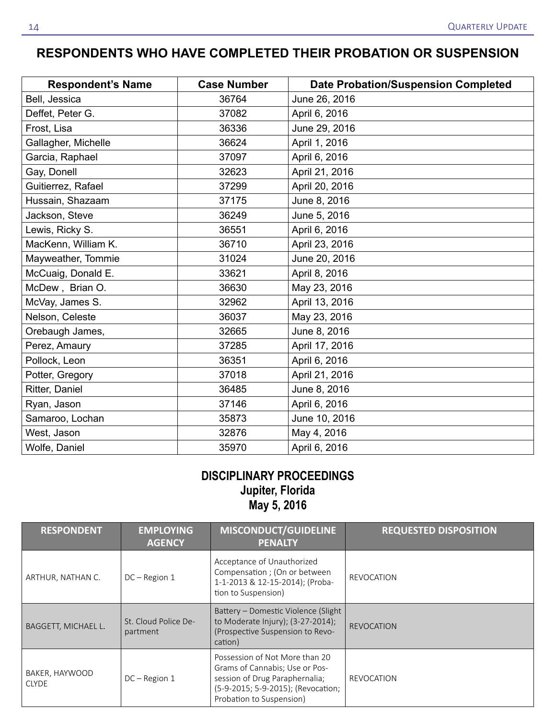### **RESPONDENTS WHO HAVE COMPLETED THEIR PROBATION OR SUSPENSION**

| <b>Respondent's Name</b> | <b>Case Number</b> | <b>Date Probation/Suspension Completed</b> |
|--------------------------|--------------------|--------------------------------------------|
| Bell, Jessica            | 36764              | June 26, 2016                              |
| Deffet, Peter G.         | 37082              | April 6, 2016                              |
| Frost, Lisa              | 36336              | June 29, 2016                              |
| Gallagher, Michelle      | 36624              | April 1, 2016                              |
| Garcia, Raphael          | 37097              | April 6, 2016                              |
| Gay, Donell              | 32623              | April 21, 2016                             |
| Guitierrez, Rafael       | 37299              | April 20, 2016                             |
| Hussain, Shazaam         | 37175              | June 8, 2016                               |
| Jackson, Steve           | 36249              | June 5, 2016                               |
| Lewis, Ricky S.          | 36551              | April 6, 2016                              |
| MacKenn, William K.      | 36710              | April 23, 2016                             |
| Mayweather, Tommie       | 31024              | June 20, 2016                              |
| McCuaig, Donald E.       | 33621              | April 8, 2016                              |
| McDew, Brian O.          | 36630              | May 23, 2016                               |
| McVay, James S.          | 32962              | April 13, 2016                             |
| Nelson, Celeste          | 36037              | May 23, 2016                               |
| Orebaugh James,          | 32665              | June 8, 2016                               |
| Perez, Amaury            | 37285              | April 17, 2016                             |
| Pollock, Leon            | 36351              | April 6, 2016                              |
| Potter, Gregory          | 37018              | April 21, 2016                             |
| Ritter, Daniel           | 36485              | June 8, 2016                               |
| Ryan, Jason              | 37146              | April 6, 2016                              |
| Samaroo, Lochan          | 35873              | June 10, 2016                              |
| West, Jason              | 32876              | May 4, 2016                                |
| Wolfe, Daniel            | 35970              | April 6, 2016                              |

### **DISCIPLINARY PROCEEDINGS Jupiter, Florida May 5, 2016**

| <b>RESPONDENT</b>              | <b>EMPLOYING</b><br><b>AGENCY</b> | <b>MISCONDUCT/GUIDELINE</b><br><b>PENALTY</b>                                                                                                                        | <b>REQUESTED DISPOSITION</b> |
|--------------------------------|-----------------------------------|----------------------------------------------------------------------------------------------------------------------------------------------------------------------|------------------------------|
| ARTHUR, NATHAN C.              | $DC - Region 1$                   | Acceptance of Unauthorized<br>Compensation ; (On or between<br>1-1-2013 & 12-15-2014); (Proba-<br>tion to Suspension)                                                | <b>REVOCATION</b>            |
| BAGGETT, MICHAEL L.            | St. Cloud Police De-<br>partment  | Battery – Domestic Violence (Slight<br>to Moderate Injury); (3-27-2014);<br>(Prospective Suspension to Revo-<br>cation)                                              | <b>REVOCATION</b>            |
| BAKER, HAYWOOD<br><b>CLYDE</b> | $DC - Region 1$                   | Possession of Not More than 20<br>Grams of Cannabis; Use or Pos-<br>session of Drug Paraphernalia;<br>(5-9-2015; 5-9-2015); (Revocation;<br>Probation to Suspension) | REVOCATION                   |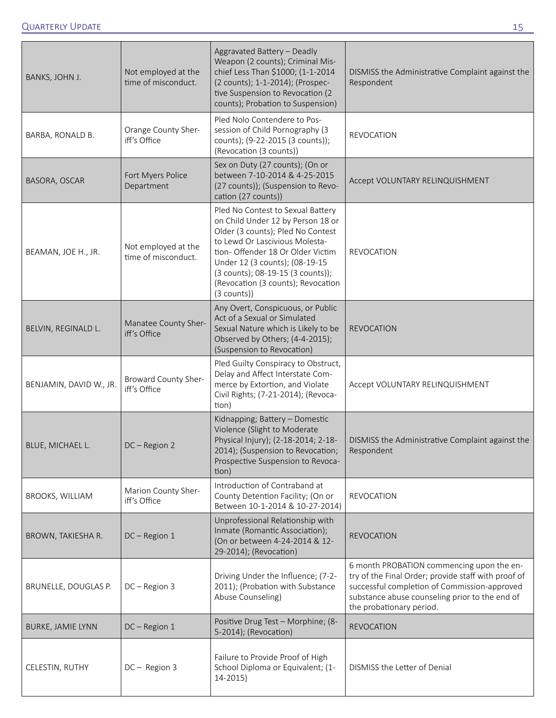| BANKS, JOHN J.           | Not employed at the<br>time of misconduct. | Aggravated Battery - Deadly<br>Weapon (2 counts); Criminal Mis-<br>chief Less Than \$1000; (1-1-2014<br>(2 counts); 1-1-2014); (Prospec-<br>tive Suspension to Revocation (2<br>counts); Probation to Suspension)                                                                                                | DISMISS the Administrative Complaint against the<br>Respondent                                                                                                                                                                 |
|--------------------------|--------------------------------------------|------------------------------------------------------------------------------------------------------------------------------------------------------------------------------------------------------------------------------------------------------------------------------------------------------------------|--------------------------------------------------------------------------------------------------------------------------------------------------------------------------------------------------------------------------------|
| BARBA, RONALD B.         | Orange County Sher-<br>iff's Office        | Pled Nolo Contendere to Pos-<br>session of Child Pornography (3<br>counts); (9-22-2015 (3 counts));<br>(Revocation (3 counts))                                                                                                                                                                                   | <b>REVOCATION</b>                                                                                                                                                                                                              |
| BASORA, OSCAR            | Fort Myers Police<br>Department            | Sex on Duty (27 counts); (On or<br>between 7-10-2014 & 4-25-2015<br>(27 counts)); (Suspension to Revo-<br>cation (27 counts))                                                                                                                                                                                    | Accept VOLUNTARY RELINQUISHMENT                                                                                                                                                                                                |
| BEAMAN, JOE H., JR.      | Not employed at the<br>time of misconduct. | Pled No Contest to Sexual Battery<br>on Child Under 12 by Person 18 or<br>Older (3 counts); Pled No Contest<br>to Lewd Or Lascivious Molesta-<br>tion- Offender 18 Or Older Victim<br>Under 12 (3 counts); (08-19-15<br>(3 counts); 08-19-15 (3 counts));<br>(Revocation (3 counts); Revocation<br>$(3$ counts)) | <b>REVOCATION</b>                                                                                                                                                                                                              |
| BELVIN, REGINALD L.      | Manatee County Sher-<br>iff's Office       | Any Overt, Conspicuous, or Public<br>Act of a Sexual or Simulated<br>Sexual Nature which is Likely to be<br>Observed by Others; (4-4-2015);<br>(Suspension to Revocation)                                                                                                                                        | <b>REVOCATION</b>                                                                                                                                                                                                              |
| BENJAMIN, DAVID W., JR.  | Broward County Sher-<br>iff's Office       | Pled Guilty Conspiracy to Obstruct,<br>Delay and Affect Interstate Com-<br>merce by Extortion, and Violate<br>Civil Rights; (7-21-2014); (Revoca-<br>tion)                                                                                                                                                       | Accept VOLUNTARY RELINQUISHMENT                                                                                                                                                                                                |
| <b>BLUE, MICHAEL L.</b>  | $DC - Region 2$                            | Kidnapping; Battery - Domestic<br>Violence (Slight to Moderate<br>Physical Injury); (2-18-2014; 2-18-<br>2014); (Suspension to Revocation;<br>Prospective Suspension to Revoca-<br>tion)                                                                                                                         | DISMISS the Administrative Complaint against the<br>Respondent                                                                                                                                                                 |
| <b>BROOKS, WILLIAM</b>   | Marion County Sher-<br>iff's Office        | Introduction of Contraband at<br>County Detention Facility; (On or<br>Between 10-1-2014 & 10-27-2014)                                                                                                                                                                                                            | <b>REVOCATION</b>                                                                                                                                                                                                              |
| BROWN, TAKIESHA R.       | DC-Region 1                                | Unprofessional Relationship with<br>Inmate (Romantic Association);<br>(On or between 4-24-2014 & 12-<br>29-2014); (Revocation)                                                                                                                                                                                   | <b>REVOCATION</b>                                                                                                                                                                                                              |
| BRUNELLE, DOUGLAS P.     | $DC - Region 3$                            | Driving Under the Influence; (7-2-<br>2011); (Probation with Substance<br>Abuse Counseling)                                                                                                                                                                                                                      | 6 month PROBATION commencing upon the en-<br>try of the Final Order; provide staff with proof of<br>successful completion of Commission-approved<br>substance abuse counseling prior to the end of<br>the probationary period. |
| <b>BURKE, JAMIE LYNN</b> | DC-Region 1                                | Positive Drug Test - Morphine; (8-<br>5-2014); (Revocation)                                                                                                                                                                                                                                                      | <b>REVOCATION</b>                                                                                                                                                                                                              |
| CELESTIN, RUTHY          | DC-Region 3                                | Failure to Provide Proof of High<br>School Diploma or Equivalent; (1-<br>$14 - 2015$                                                                                                                                                                                                                             | DISMISS the Letter of Denial                                                                                                                                                                                                   |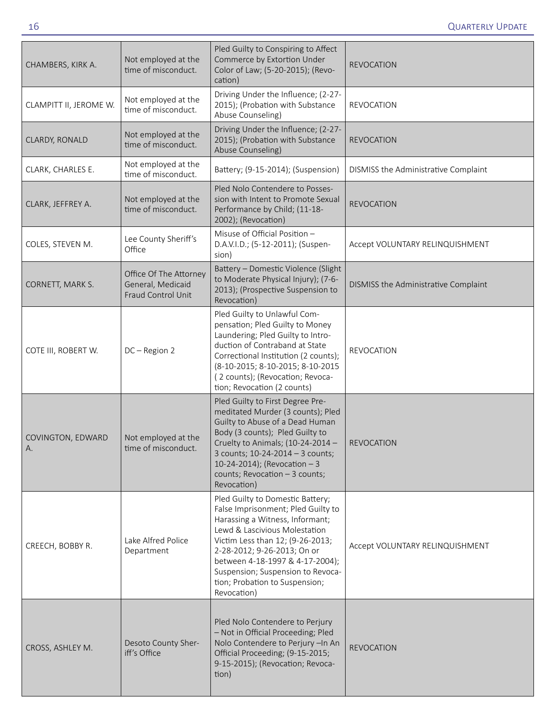| CHAMBERS, KIRK A.       | Not employed at the<br>time of misconduct.                        | Pled Guilty to Conspiring to Affect<br>Commerce by Extortion Under<br>Color of Law; (5-20-2015); (Revo-<br>cation)                                                                                                                                                                                                                     | <b>REVOCATION</b>                    |
|-------------------------|-------------------------------------------------------------------|----------------------------------------------------------------------------------------------------------------------------------------------------------------------------------------------------------------------------------------------------------------------------------------------------------------------------------------|--------------------------------------|
| CLAMPITT II, JEROME W.  | Not employed at the<br>time of misconduct.                        | Driving Under the Influence; (2-27-<br>2015); (Probation with Substance<br>Abuse Counseling)                                                                                                                                                                                                                                           | <b>REVOCATION</b>                    |
| CLARDY, RONALD          | Not employed at the<br>time of misconduct.                        | Driving Under the Influence; (2-27-<br>2015); (Probation with Substance<br>Abuse Counseling)                                                                                                                                                                                                                                           | <b>REVOCATION</b>                    |
| CLARK, CHARLES E.       | Not employed at the<br>time of misconduct.                        | Battery; (9-15-2014); (Suspension)                                                                                                                                                                                                                                                                                                     | DISMISS the Administrative Complaint |
| CLARK, JEFFREY A.       | Not employed at the<br>time of misconduct.                        | Pled Nolo Contendere to Posses-<br>sion with Intent to Promote Sexual<br>Performance by Child; (11-18-<br>2002); (Revocation)                                                                                                                                                                                                          | <b>REVOCATION</b>                    |
| COLES, STEVEN M.        | Lee County Sheriff's<br>Office                                    | Misuse of Official Position -<br>D.A.V.I.D.; (5-12-2011); (Suspen-<br>sion)                                                                                                                                                                                                                                                            | Accept VOLUNTARY RELINQUISHMENT      |
| CORNETT, MARK S.        | Office Of The Attorney<br>General, Medicaid<br>Fraud Control Unit | Battery - Domestic Violence (Slight<br>to Moderate Physical Injury); (7-6-<br>2013); (Prospective Suspension to<br>Revocation)                                                                                                                                                                                                         | DISMISS the Administrative Complaint |
| COTE III, ROBERT W.     | DC-Region 2                                                       | Pled Guilty to Unlawful Com-<br>pensation; Pled Guilty to Money<br>Laundering; Pled Guilty to Intro-<br>duction of Contraband at State<br>Correctional Institution (2 counts);<br>(8-10-2015; 8-10-2015; 8-10-2015<br>(2 counts); (Revocation; Revoca-<br>tion; Revocation (2 counts)                                                  | <b>REVOCATION</b>                    |
| COVINGTON, EDWARD<br>Α. | Not employed at the<br>time of misconduct.                        | Pled Guilty to First Degree Pre-<br>meditated Murder (3 counts); Pled<br>Guilty to Abuse of a Dead Human<br>Body (3 counts); Pled Guilty to<br>Cruelty to Animals; (10-24-2014 -<br>3 counts; 10-24-2014 - 3 counts;<br>10-24-2014); (Revocation $-3$<br>counts; Revocation - 3 counts;<br>Revocation)                                 | <b>REVOCATION</b>                    |
| CREECH, BOBBY R.        | Lake Alfred Police<br>Department                                  | Pled Guilty to Domestic Battery;<br>False Imprisonment; Pled Guilty to<br>Harassing a Witness, Informant;<br>Lewd & Lascivious Molestation<br>Victim Less than 12; (9-26-2013;<br>2-28-2012; 9-26-2013; On or<br>between 4-18-1997 & 4-17-2004);<br>Suspension; Suspension to Revoca-<br>tion; Probation to Suspension;<br>Revocation) | Accept VOLUNTARY RELINQUISHMENT      |
| CROSS, ASHLEY M.        | Desoto County Sher-<br>iff's Office                               | Pled Nolo Contendere to Perjury<br>- Not in Official Proceeding; Pled<br>Nolo Contendere to Perjury -In An<br>Official Proceeding; (9-15-2015;<br>9-15-2015); (Revocation; Revoca-<br>tion)                                                                                                                                            | <b>REVOCATION</b>                    |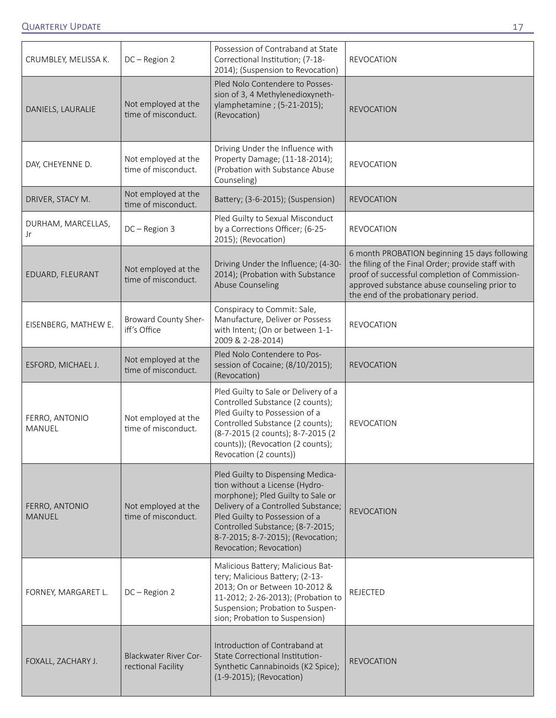| CRUMBLEY, MELISSA K.     | DC-Region 2                                        | Possession of Contraband at State<br>Correctional Institution; (7-18-<br>2014); (Suspension to Revocation)                                                                                                                                                                            | <b>REVOCATION</b>                                                                                                                                                                                                                          |
|--------------------------|----------------------------------------------------|---------------------------------------------------------------------------------------------------------------------------------------------------------------------------------------------------------------------------------------------------------------------------------------|--------------------------------------------------------------------------------------------------------------------------------------------------------------------------------------------------------------------------------------------|
| DANIELS, LAURALIE        | Not employed at the<br>time of misconduct.         | Pled Nolo Contendere to Posses-<br>sion of 3, 4 Methylenedioxyneth-<br>ylamphetamine; (5-21-2015);<br>(Revocation)                                                                                                                                                                    | <b>REVOCATION</b>                                                                                                                                                                                                                          |
| DAY, CHEYENNE D.         | Not employed at the<br>time of misconduct.         | Driving Under the Influence with<br>Property Damage; (11-18-2014);<br>(Probation with Substance Abuse<br>Counseling)                                                                                                                                                                  | <b>REVOCATION</b>                                                                                                                                                                                                                          |
| DRIVER, STACY M.         | Not employed at the<br>time of misconduct.         | Battery; (3-6-2015); (Suspension)                                                                                                                                                                                                                                                     | <b>REVOCATION</b>                                                                                                                                                                                                                          |
| DURHAM, MARCELLAS,<br>Jr | DC-Region 3                                        | Pled Guilty to Sexual Misconduct<br>by a Corrections Officer; (6-25-<br>2015); (Revocation)                                                                                                                                                                                           | <b>REVOCATION</b>                                                                                                                                                                                                                          |
| EDUARD, FLEURANT         | Not employed at the<br>time of misconduct.         | Driving Under the Influence; (4-30-<br>2014); (Probation with Substance<br><b>Abuse Counseling</b>                                                                                                                                                                                    | 6 month PROBATION beginning 15 days following<br>the filing of the Final Order; provide staff with<br>proof of successful completion of Commission-<br>approved substance abuse counseling prior to<br>the end of the probationary period. |
| EISENBERG, MATHEW E.     | Broward County Sher-<br>iff's Office               | Conspiracy to Commit: Sale,<br>Manufacture, Deliver or Possess<br>with Intent; (On or between 1-1-<br>2009 & 2-28-2014)                                                                                                                                                               | <b>REVOCATION</b>                                                                                                                                                                                                                          |
| ESFORD, MICHAEL J.       | Not employed at the<br>time of misconduct.         | Pled Nolo Contendere to Pos-<br>session of Cocaine; (8/10/2015);<br>(Revocation)                                                                                                                                                                                                      | <b>REVOCATION</b>                                                                                                                                                                                                                          |
| FERRO, ANTONIO<br>MANUEL | Not employed at the<br>time of misconduct.         | Pled Guilty to Sale or Delivery of a<br>Controlled Substance (2 counts);<br>Pled Guilty to Possession of a<br>Controlled Substance (2 counts);<br>(8-7-2015 (2 counts); 8-7-2015 (2<br>counts)); (Revocation (2 counts);<br>Revocation (2 counts))                                    | <b>REVOCATION</b>                                                                                                                                                                                                                          |
| FERRO, ANTONIO<br>MANUEL | Not employed at the<br>time of misconduct.         | Pled Guilty to Dispensing Medica-<br>tion without a License (Hydro-<br>morphone); Pled Guilty to Sale or<br>Delivery of a Controlled Substance;<br>Pled Guilty to Possession of a<br>Controlled Substance; (8-7-2015;<br>8-7-2015; 8-7-2015); (Revocation;<br>Revocation; Revocation) | <b>REVOCATION</b>                                                                                                                                                                                                                          |
| FORNEY, MARGARET L.      | DC-Region 2                                        | Malicious Battery; Malicious Bat-<br>tery; Malicious Battery; (2-13-<br>2013; On or Between 10-2012 &<br>11-2012; 2-26-2013); (Probation to<br>Suspension; Probation to Suspen-<br>sion; Probation to Suspension)                                                                     | <b>REJECTED</b>                                                                                                                                                                                                                            |
| FOXALL, ZACHARY J.       | <b>Blackwater River Cor-</b><br>rectional Facility | Introduction of Contraband at<br>State Correctional Institution-<br>Synthetic Cannabinoids (K2 Spice);<br>(1-9-2015); (Revocation)                                                                                                                                                    | <b>REVOCATION</b>                                                                                                                                                                                                                          |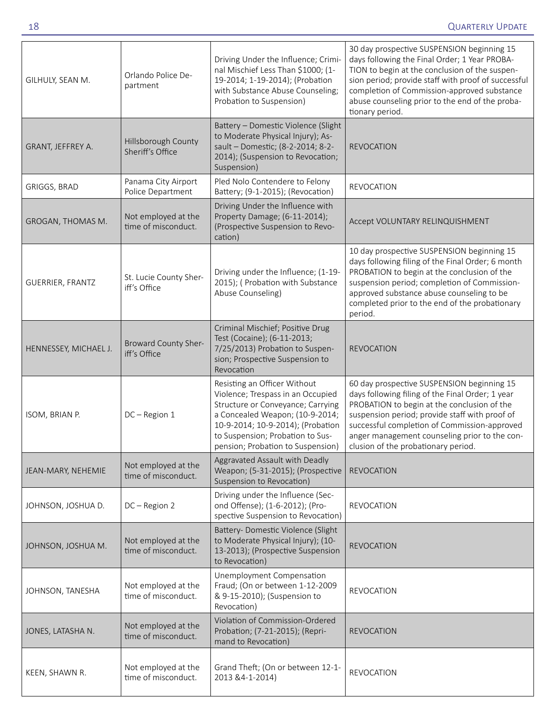| GILHULY, SEAN M.      | Orlando Police De-<br>partment             | Driving Under the Influence; Crimi-<br>nal Mischief Less Than \$1000; (1-<br>19-2014; 1-19-2014); (Probation<br>with Substance Abuse Counseling;<br>Probation to Suspension)                                                                            | 30 day prospective SUSPENSION beginning 15<br>days following the Final Order; 1 Year PROBA-<br>TION to begin at the conclusion of the suspen-<br>sion period; provide staff with proof of successful<br>completion of Commission-approved substance<br>abuse counseling prior to the end of the proba-<br>tionary period.               |
|-----------------------|--------------------------------------------|---------------------------------------------------------------------------------------------------------------------------------------------------------------------------------------------------------------------------------------------------------|-----------------------------------------------------------------------------------------------------------------------------------------------------------------------------------------------------------------------------------------------------------------------------------------------------------------------------------------|
| GRANT, JEFFREY A.     | Hillsborough County<br>Sheriff's Office    | Battery - Domestic Violence (Slight<br>to Moderate Physical Injury); As-<br>sault - Domestic; (8-2-2014; 8-2-<br>2014); (Suspension to Revocation;<br>Suspension)                                                                                       | <b>REVOCATION</b>                                                                                                                                                                                                                                                                                                                       |
| GRIGGS, BRAD          | Panama City Airport<br>Police Department   | Pled Nolo Contendere to Felony<br>Battery; (9-1-2015); (Revocation)                                                                                                                                                                                     | <b>REVOCATION</b>                                                                                                                                                                                                                                                                                                                       |
| GROGAN, THOMAS M.     | Not employed at the<br>time of misconduct. | Driving Under the Influence with<br>Property Damage; (6-11-2014);<br>(Prospective Suspension to Revo-<br>cation)                                                                                                                                        | Accept VOLUNTARY RELINQUISHMENT                                                                                                                                                                                                                                                                                                         |
| GUERRIER, FRANTZ      | St. Lucie County Sher-<br>iff's Office     | Driving under the Influence; (1-19-<br>2015); ( Probation with Substance<br>Abuse Counseling)                                                                                                                                                           | 10 day prospective SUSPENSION beginning 15<br>days following filing of the Final Order; 6 month<br>PROBATION to begin at the conclusion of the<br>suspension period; completion of Commission-<br>approved substance abuse counseling to be<br>completed prior to the end of the probationary<br>period.                                |
| HENNESSEY, MICHAEL J. | Broward County Sher-<br>iff's Office       | Criminal Mischief; Positive Drug<br>Test (Cocaine); (6-11-2013;<br>7/25/2013) Probation to Suspen-<br>sion; Prospective Suspension to<br>Revocation                                                                                                     | <b>REVOCATION</b>                                                                                                                                                                                                                                                                                                                       |
| ISOM, BRIAN P.        | DC-Region 1                                | Resisting an Officer Without<br>Violence; Trespass in an Occupied<br>Structure or Conveyance; Carrying<br>a Concealed Weapon; (10-9-2014;<br>10-9-2014; 10-9-2014); (Probation<br>to Suspension; Probation to Sus-<br>pension; Probation to Suspension) | 60 day prospective SUSPENSION beginning 15<br>days following filing of the Final Order; 1 year<br>PROBATION to begin at the conclusion of the<br>suspension period; provide staff with proof of<br>successful completion of Commission-approved<br>anger management counseling prior to the con-<br>clusion of the probationary period. |
| JEAN-MARY, NEHEMIE    | Not employed at the<br>time of misconduct. | Aggravated Assault with Deadly<br>Weapon; (5-31-2015); (Prospective<br>Suspension to Revocation)                                                                                                                                                        | <b>REVOCATION</b>                                                                                                                                                                                                                                                                                                                       |
| JOHNSON, JOSHUA D.    | DC - Region 2                              | Driving under the Influence (Sec-<br>ond Offense); (1-6-2012); (Pro-<br>spective Suspension to Revocation)                                                                                                                                              | <b>REVOCATION</b>                                                                                                                                                                                                                                                                                                                       |
| JOHNSON, JOSHUA M.    | Not employed at the<br>time of misconduct. | Battery- Domestic Violence (Slight<br>to Moderate Physical Injury); (10-<br>13-2013); (Prospective Suspension<br>to Revocation)                                                                                                                         | <b>REVOCATION</b>                                                                                                                                                                                                                                                                                                                       |
| JOHNSON, TANESHA      | Not employed at the<br>time of misconduct. | Unemployment Compensation<br>Fraud; (On or between 1-12-2009<br>& 9-15-2010); (Suspension to<br>Revocation)                                                                                                                                             | <b>REVOCATION</b>                                                                                                                                                                                                                                                                                                                       |
| JONES, LATASHA N.     | Not employed at the<br>time of misconduct. | Violation of Commission-Ordered<br>Probation; (7-21-2015); (Repri-<br>mand to Revocation)                                                                                                                                                               | <b>REVOCATION</b>                                                                                                                                                                                                                                                                                                                       |
| KEEN, SHAWN R.        | Not employed at the<br>time of misconduct. | Grand Theft; (On or between 12-1-<br>2013 & 4-1-2014)                                                                                                                                                                                                   | <b>REVOCATION</b>                                                                                                                                                                                                                                                                                                                       |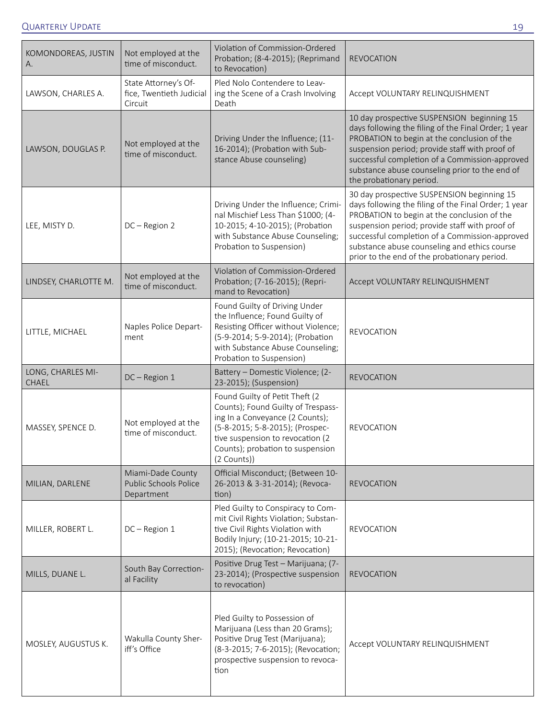| KOMONDOREAS, JUSTIN<br>А.         | Not employed at the<br>time of misconduct.                  | Violation of Commission-Ordered<br>Probation; (8-4-2015); (Reprimand<br>to Revocation)                                                                                                                                              | <b>REVOCATION</b>                                                                                                                                                                                                                                                                                                                                     |
|-----------------------------------|-------------------------------------------------------------|-------------------------------------------------------------------------------------------------------------------------------------------------------------------------------------------------------------------------------------|-------------------------------------------------------------------------------------------------------------------------------------------------------------------------------------------------------------------------------------------------------------------------------------------------------------------------------------------------------|
| LAWSON, CHARLES A.                | State Attorney's Of-<br>fice, Twentieth Judicial<br>Circuit | Pled Nolo Contendere to Leav-<br>ing the Scene of a Crash Involving<br>Death                                                                                                                                                        | Accept VOLUNTARY RELINQUISHMENT                                                                                                                                                                                                                                                                                                                       |
| LAWSON, DOUGLAS P.                | Not employed at the<br>time of misconduct.                  | Driving Under the Influence; (11-<br>16-2014); (Probation with Sub-<br>stance Abuse counseling)                                                                                                                                     | 10 day prospective SUSPENSION beginning 15<br>days following the filing of the Final Order; 1 year<br>PROBATION to begin at the conclusion of the<br>suspension period; provide staff with proof of<br>successful completion of a Commission-approved<br>substance abuse counseling prior to the end of<br>the probationary period.                   |
| LEE, MISTY D.                     | DC - Region 2                                               | Driving Under the Influence; Crimi-<br>nal Mischief Less Than \$1000; (4-<br>10-2015; 4-10-2015); (Probation<br>with Substance Abuse Counseling;<br>Probation to Suspension)                                                        | 30 day prospective SUSPENSION beginning 15<br>days following the filing of the Final Order; 1 year<br>PROBATION to begin at the conclusion of the<br>suspension period; provide staff with proof of<br>successful completion of a Commission-approved<br>substance abuse counseling and ethics course<br>prior to the end of the probationary period. |
| LINDSEY, CHARLOTTE M.             | Not employed at the<br>time of misconduct.                  | Violation of Commission-Ordered<br>Probation; (7-16-2015); (Repri-<br>mand to Revocation)                                                                                                                                           | Accept VOLUNTARY RELINQUISHMENT                                                                                                                                                                                                                                                                                                                       |
| LITTLE, MICHAEL                   | Naples Police Depart-<br>ment                               | Found Guilty of Driving Under<br>the Influence; Found Guilty of<br>Resisting Officer without Violence;<br>(5-9-2014; 5-9-2014); (Probation<br>with Substance Abuse Counseling;<br>Probation to Suspension)                          | <b>REVOCATION</b>                                                                                                                                                                                                                                                                                                                                     |
| LONG, CHARLES MI-<br><b>CHAEL</b> | DC-Region 1                                                 | Battery - Domestic Violence; (2-<br>23-2015); (Suspension)                                                                                                                                                                          | <b>REVOCATION</b>                                                                                                                                                                                                                                                                                                                                     |
| MASSEY, SPENCE D.                 | Not employed at the<br>time of misconduct.                  | Found Guilty of Petit Theft (2<br>Counts); Found Guilty of Trespass-<br>ing In a Conveyance (2 Counts);<br>(5-8-2015; 5-8-2015); (Prospec-<br>tive suspension to revocation (2<br>Counts); probation to suspension<br>$(2$ Counts)) | <b>REVOCATION</b>                                                                                                                                                                                                                                                                                                                                     |
| MILIAN, DARLENE                   | Miami-Dade County<br>Public Schools Police<br>Department    | Official Misconduct; (Between 10-<br>26-2013 & 3-31-2014); (Revoca-<br>tion)                                                                                                                                                        | <b>REVOCATION</b>                                                                                                                                                                                                                                                                                                                                     |
| MILLER, ROBERT L.                 | DC-Region 1                                                 | Pled Guilty to Conspiracy to Com-<br>mit Civil Rights Violation; Substan-<br>tive Civil Rights Violation with<br>Bodily Injury; (10-21-2015; 10-21-<br>2015); (Revocation; Revocation)                                              | <b>REVOCATION</b>                                                                                                                                                                                                                                                                                                                                     |
| MILLS, DUANE L.                   | South Bay Correction-<br>al Facility                        | Positive Drug Test - Marijuana; (7-<br>23-2014); (Prospective suspension<br>to revocation)                                                                                                                                          | <b>REVOCATION</b>                                                                                                                                                                                                                                                                                                                                     |
| MOSLEY, AUGUSTUS K.               | Wakulla County Sher-<br>iff's Office                        | Pled Guilty to Possession of<br>Marijuana (Less than 20 Grams);<br>Positive Drug Test (Marijuana);<br>(8-3-2015; 7-6-2015); (Revocation;<br>prospective suspension to revoca-<br>tion                                               | Accept VOLUNTARY RELINQUISHMENT                                                                                                                                                                                                                                                                                                                       |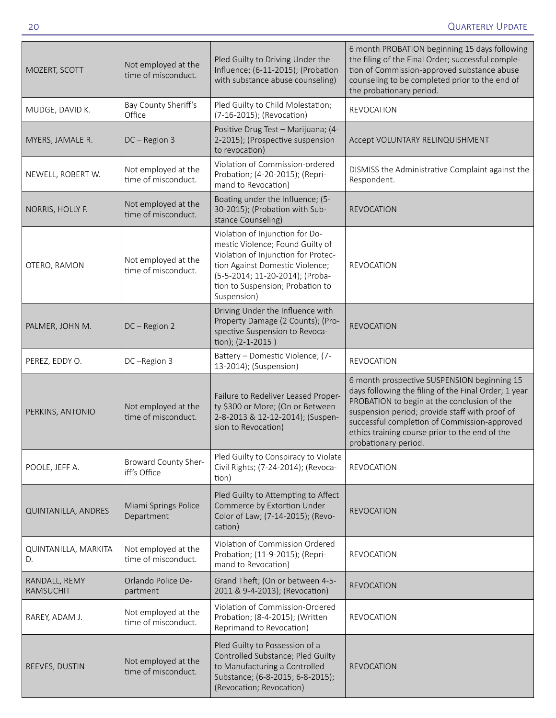| MOZERT, SCOTT                     | Not employed at the<br>time of misconduct. | Pled Guilty to Driving Under the<br>Influence; (6-11-2015); (Probation<br>with substance abuse counseling)                                                                                                                          | 6 month PROBATION beginning 15 days following<br>the filing of the Final Order; successful comple-<br>tion of Commission-approved substance abuse<br>counseling to be completed prior to the end of<br>the probationary period.                                                                                                |
|-----------------------------------|--------------------------------------------|-------------------------------------------------------------------------------------------------------------------------------------------------------------------------------------------------------------------------------------|--------------------------------------------------------------------------------------------------------------------------------------------------------------------------------------------------------------------------------------------------------------------------------------------------------------------------------|
| MUDGE, DAVID K.                   | Bay County Sheriff's<br>Office             | Pled Guilty to Child Molestation;<br>(7-16-2015); (Revocation)                                                                                                                                                                      | <b>REVOCATION</b>                                                                                                                                                                                                                                                                                                              |
| MYERS, JAMALE R.                  | DC - Region 3                              | Positive Drug Test - Marijuana; (4-<br>2-2015); (Prospective suspension<br>to revocation)                                                                                                                                           | Accept VOLUNTARY RELINQUISHMENT                                                                                                                                                                                                                                                                                                |
| NEWELL, ROBERT W.                 | Not employed at the<br>time of misconduct. | Violation of Commission-ordered<br>Probation; (4-20-2015); (Repri-<br>mand to Revocation)                                                                                                                                           | DISMISS the Administrative Complaint against the<br>Respondent.                                                                                                                                                                                                                                                                |
| NORRIS, HOLLY F.                  | Not employed at the<br>time of misconduct. | Boating under the Influence; (5-<br>30-2015); (Probation with Sub-<br>stance Counseling)                                                                                                                                            | <b>REVOCATION</b>                                                                                                                                                                                                                                                                                                              |
| OTERO, RAMON                      | Not employed at the<br>time of misconduct. | Violation of Injunction for Do-<br>mestic Violence; Found Guilty of<br>Violation of Injunction for Protec-<br>tion Against Domestic Violence;<br>(5-5-2014; 11-20-2014); (Proba-<br>tion to Suspension; Probation to<br>Suspension) | <b>REVOCATION</b>                                                                                                                                                                                                                                                                                                              |
| PALMER, JOHN M.                   | DC-Region 2                                | Driving Under the Influence with<br>Property Damage (2 Counts); (Pro-<br>spective Suspension to Revoca-<br>tion); (2-1-2015)                                                                                                        | <b>REVOCATION</b>                                                                                                                                                                                                                                                                                                              |
| PEREZ, EDDY O.                    | DC-Region 3                                | Battery - Domestic Violence; (7-<br>13-2014); (Suspension)                                                                                                                                                                          | <b>REVOCATION</b>                                                                                                                                                                                                                                                                                                              |
| PERKINS, ANTONIO                  | Not employed at the<br>time of misconduct. | Failure to Redeliver Leased Proper-<br>ty \$300 or More; (On or Between<br>2-8-2013 & 12-12-2014); (Suspen-<br>sion to Revocation)                                                                                                  | 6 month prospective SUSPENSION beginning 15<br>days following the filing of the Final Order; 1 year<br>PROBATION to begin at the conclusion of the<br>suspension period; provide staff with proof of<br>successful completion of Commission-approved<br>ethics training course prior to the end of the<br>probationary period. |
| POOLE, JEFF A.                    | Broward County Sher-<br>iff's Office       | Pled Guilty to Conspiracy to Violate<br>Civil Rights; (7-24-2014); (Revoca-<br>tion)                                                                                                                                                | <b>REVOCATION</b>                                                                                                                                                                                                                                                                                                              |
| QUINTANILLA, ANDRES               | Miami Springs Police<br>Department         | Pled Guilty to Attempting to Affect<br>Commerce by Extortion Under<br>Color of Law; (7-14-2015); (Revo-<br>cation)                                                                                                                  | <b>REVOCATION</b>                                                                                                                                                                                                                                                                                                              |
| QUINTANILLA, MARKITA<br>D.        | Not employed at the<br>time of misconduct. | Violation of Commission Ordered<br>Probation; (11-9-2015); (Repri-<br>mand to Revocation)                                                                                                                                           | <b>REVOCATION</b>                                                                                                                                                                                                                                                                                                              |
| RANDALL, REMY<br><b>RAMSUCHIT</b> | Orlando Police De-<br>partment             | Grand Theft; (On or between 4-5-<br>2011 & 9-4-2013); (Revocation)                                                                                                                                                                  | <b>REVOCATION</b>                                                                                                                                                                                                                                                                                                              |
| RAREY, ADAM J.                    | Not employed at the<br>time of misconduct. | Violation of Commission-Ordered<br>Probation; (8-4-2015); (Written<br>Reprimand to Revocation)                                                                                                                                      | <b>REVOCATION</b>                                                                                                                                                                                                                                                                                                              |
| REEVES, DUSTIN                    | Not employed at the<br>time of misconduct. | Pled Guilty to Possession of a<br>Controlled Substance; Pled Guilty<br>to Manufacturing a Controlled<br>Substance; (6-8-2015; 6-8-2015);<br>(Revocation; Revocation)                                                                | <b>REVOCATION</b>                                                                                                                                                                                                                                                                                                              |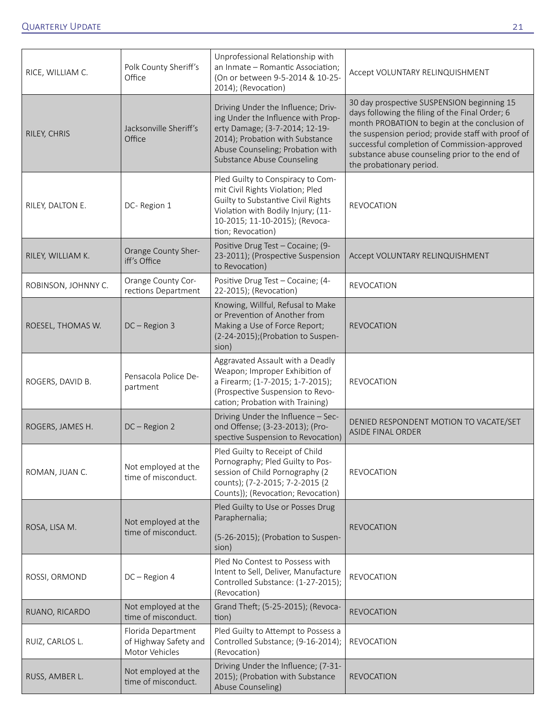| RICE, WILLIAM C.    | Polk County Sheriff's<br>Office                               | Unprofessional Relationship with<br>an Inmate - Romantic Association;<br>(On or between 9-5-2014 & 10-25-<br>2014); (Revocation)                                                                                | Accept VOLUNTARY RELINQUISHMENT                                                                                                                                                                                                                                                                                                    |
|---------------------|---------------------------------------------------------------|-----------------------------------------------------------------------------------------------------------------------------------------------------------------------------------------------------------------|------------------------------------------------------------------------------------------------------------------------------------------------------------------------------------------------------------------------------------------------------------------------------------------------------------------------------------|
| RILEY, CHRIS        | Jacksonville Sheriff's<br>Office                              | Driving Under the Influence; Driv-<br>ing Under the Influence with Prop-<br>erty Damage; (3-7-2014; 12-19-<br>2014); Probation with Substance<br>Abuse Counseling; Probation with<br>Substance Abuse Counseling | 30 day prospective SUSPENSION beginning 15<br>days following the filing of the Final Order; 6<br>month PROBATION to begin at the conclusion of<br>the suspension period; provide staff with proof of<br>successful completion of Commission-approved<br>substance abuse counseling prior to the end of<br>the probationary period. |
| RILEY, DALTON E.    | DC-Region 1                                                   | Pled Guilty to Conspiracy to Com-<br>mit Civil Rights Violation; Pled<br>Guilty to Substantive Civil Rights<br>Violation with Bodily Injury; (11-<br>10-2015; 11-10-2015); (Revoca-<br>tion; Revocation)        | <b>REVOCATION</b>                                                                                                                                                                                                                                                                                                                  |
| RILEY, WILLIAM K.   | Orange County Sher-<br>iff's Office                           | Positive Drug Test - Cocaine; (9-<br>23-2011); (Prospective Suspension<br>to Revocation)                                                                                                                        | Accept VOLUNTARY RELINQUISHMENT                                                                                                                                                                                                                                                                                                    |
| ROBINSON, JOHNNY C. | Orange County Cor-<br>rections Department                     | Positive Drug Test - Cocaine; (4-<br>22-2015); (Revocation)                                                                                                                                                     | <b>REVOCATION</b>                                                                                                                                                                                                                                                                                                                  |
| ROESEL, THOMAS W.   | $DC - Region 3$                                               | Knowing, Willful, Refusal to Make<br>or Prevention of Another from<br>Making a Use of Force Report;<br>(2-24-2015); (Probation to Suspen-<br>sion)                                                              | <b>REVOCATION</b>                                                                                                                                                                                                                                                                                                                  |
| ROGERS, DAVID B.    | Pensacola Police De-<br>partment                              | Aggravated Assault with a Deadly<br>Weapon; Improper Exhibition of<br>a Firearm; (1-7-2015; 1-7-2015);<br>(Prospective Suspension to Revo-<br>cation; Probation with Training)                                  | <b>REVOCATION</b>                                                                                                                                                                                                                                                                                                                  |
| ROGERS, JAMES H.    | DC-Region 2                                                   | Driving Under the Influence - Sec-<br>ond Offense; (3-23-2013); (Pro-<br>spective Suspension to Revocation)                                                                                                     | DENIED RESPONDENT MOTION TO VACATE/SET<br><b>ASIDE FINAL ORDER</b>                                                                                                                                                                                                                                                                 |
| ROMAN, JUAN C.      | Not employed at the<br>time of misconduct.                    | Pled Guilty to Receipt of Child<br>Pornography; Pled Guilty to Pos-<br>session of Child Pornography (2<br>counts); (7-2-2015; 7-2-2015 {2<br>Counts}); (Revocation; Revocation)                                 | <b>REVOCATION</b>                                                                                                                                                                                                                                                                                                                  |
| ROSA, LISA M.       | Not employed at the<br>time of misconduct.                    | Pled Guilty to Use or Posses Drug<br>Paraphernalia;<br>(5-26-2015); (Probation to Suspen-<br>sion)                                                                                                              | <b>REVOCATION</b>                                                                                                                                                                                                                                                                                                                  |
| ROSSI, ORMOND       | DC - Region 4                                                 | Pled No Contest to Possess with<br>Intent to Sell, Deliver, Manufacture<br>Controlled Substance: (1-27-2015);<br>(Revocation)                                                                                   | <b>REVOCATION</b>                                                                                                                                                                                                                                                                                                                  |
| RUANO, RICARDO      | Not employed at the<br>time of misconduct.                    | Grand Theft; (5-25-2015); (Revoca-<br>tion)                                                                                                                                                                     | <b>REVOCATION</b>                                                                                                                                                                                                                                                                                                                  |
| RUIZ, CARLOS L.     | Florida Department<br>of Highway Safety and<br>Motor Vehicles | Pled Guilty to Attempt to Possess a<br>Controlled Substance; (9-16-2014);<br>(Revocation)                                                                                                                       | <b>REVOCATION</b>                                                                                                                                                                                                                                                                                                                  |
| RUSS, AMBER L.      | Not employed at the<br>time of misconduct.                    | Driving Under the Influence; (7-31-<br>2015); (Probation with Substance<br>Abuse Counseling)                                                                                                                    | <b>REVOCATION</b>                                                                                                                                                                                                                                                                                                                  |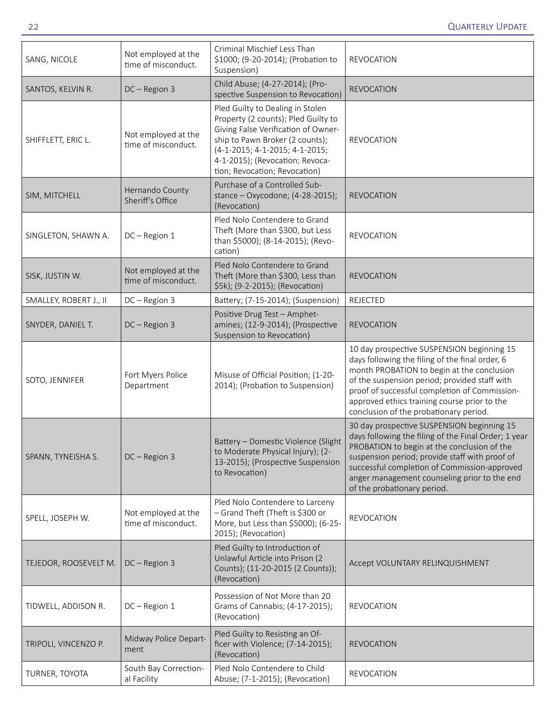| SANG, NICOLE           | Not employed at the<br>time of misconduct. | Criminal Mischief Less Than<br>\$1000; (9-20-2014); (Probation to<br>Suspension)                                                                                                                                                                        | <b>REVOCATION</b>                                                                                                                                                                                                                                                                                                                       |
|------------------------|--------------------------------------------|---------------------------------------------------------------------------------------------------------------------------------------------------------------------------------------------------------------------------------------------------------|-----------------------------------------------------------------------------------------------------------------------------------------------------------------------------------------------------------------------------------------------------------------------------------------------------------------------------------------|
| SANTOS, KELVIN R.      | DC-Region 3                                | Child Abuse; (4-27-2014); (Pro-<br>spective Suspension to Revocation)                                                                                                                                                                                   | <b>REVOCATION</b>                                                                                                                                                                                                                                                                                                                       |
| SHIFFLETT, ERIC L.     | Not employed at the<br>time of misconduct. | Pled Guilty to Dealing in Stolen<br>Property (2 counts); Pled Guilty to<br>Giving False Verification of Owner-<br>ship to Pawn Broker (2 counts);<br>(4-1-2015; 4-1-2015; 4-1-2015;<br>4-1-2015); (Revocation; Revoca-<br>tion; Revocation; Revocation) | <b>REVOCATION</b>                                                                                                                                                                                                                                                                                                                       |
| SIM, MITCHELL          | Hernando County<br>Sheriff's Office        | Purchase of a Controlled Sub-<br>stance - Oxycodone; (4-28-2015);<br>(Revocation)                                                                                                                                                                       | <b>REVOCATION</b>                                                                                                                                                                                                                                                                                                                       |
| SINGLETON, SHAWN A.    | DC-Region 1                                | Pled Nolo Contendere to Grand<br>Theft (More than \$300, but Less<br>than \$5000); (8-14-2015); (Revo-<br>cation)                                                                                                                                       | <b>REVOCATION</b>                                                                                                                                                                                                                                                                                                                       |
| SISK, JUSTIN W.        | Not employed at the<br>time of misconduct. | Pled Nolo Contendere to Grand<br>Theft (More than \$300, Less than<br>\$5k); (9-2-2015); (Revocation)                                                                                                                                                   | <b>REVOCATION</b>                                                                                                                                                                                                                                                                                                                       |
| SMALLEY, ROBERT J., II | DC-Region 3                                | Battery; (7-15-2014); (Suspension)                                                                                                                                                                                                                      | <b>REJECTED</b>                                                                                                                                                                                                                                                                                                                         |
| SNYDER, DANIEL T.      | DC-Region 3                                | Positive Drug Test - Amphet-<br>amines; (12-9-2014); (Prospective<br>Suspension to Revocation)                                                                                                                                                          | <b>REVOCATION</b>                                                                                                                                                                                                                                                                                                                       |
| SOTO, JENNIFER         | Fort Myers Police<br>Department            | Misuse of Official Position; (1-20-<br>2014); (Probation to Suspension)                                                                                                                                                                                 | 10 day prospective SUSPENSION beginning 15<br>days following the filing of the final order, 6<br>month PROBATION to begin at the conclusion<br>of the suspension period; provided staff with<br>proof of successful completion of Commission-<br>approved ethics training course prior to the<br>conclusion of the probationary period. |
| SPANN, TYNEISHA S.     | DC - Region 3                              | Battery - Domestic Violence (Slight<br>to Moderate Physical Injury); (2-<br>13-2015); (Prospective Suspension<br>to Revocation)                                                                                                                         | 30 day prospective SUSPENSION beginning 15<br>days following the filing of the Final Order; 1 year<br>PROBATION to begin at the conclusion of the<br>suspension period; provide staff with proof of<br>successful completion of Commission-approved<br>anger management counseling prior to the end<br>of the probationary period.      |
| SPELL, JOSEPH W.       | Not employed at the<br>time of misconduct. | Pled Nolo Contendere to Larceny<br>- Grand Theft (Theft is \$300 or<br>More, but Less than \$5000); (6-25-<br>2015); (Revocation)                                                                                                                       | <b>REVOCATION</b>                                                                                                                                                                                                                                                                                                                       |
| TEJEDOR, ROOSEVELT M.  | $DC - Region 3$                            | Pled Guilty to Introduction of<br>Unlawful Article into Prison (2<br>Counts); (11-20-2015 (2 Counts));<br>(Revocation)                                                                                                                                  | Accept VOLUNTARY RELINQUISHMENT                                                                                                                                                                                                                                                                                                         |
| TIDWELL, ADDISON R.    | $DC - Region 1$                            | Possession of Not More than 20<br>Grams of Cannabis; (4-17-2015);<br>(Revocation)                                                                                                                                                                       | <b>REVOCATION</b>                                                                                                                                                                                                                                                                                                                       |
| TRIPOLI, VINCENZO P.   | Midway Police Depart-<br>ment              | Pled Guilty to Resisting an Of-<br>ficer with Violence; (7-14-2015);<br>(Revocation)                                                                                                                                                                    | <b>REVOCATION</b>                                                                                                                                                                                                                                                                                                                       |
| TURNER, TOYOTA         | South Bay Correction-<br>al Facility       | Pled Nolo Contendere to Child<br>Abuse; (7-1-2015); (Revocation)                                                                                                                                                                                        | <b>REVOCATION</b>                                                                                                                                                                                                                                                                                                                       |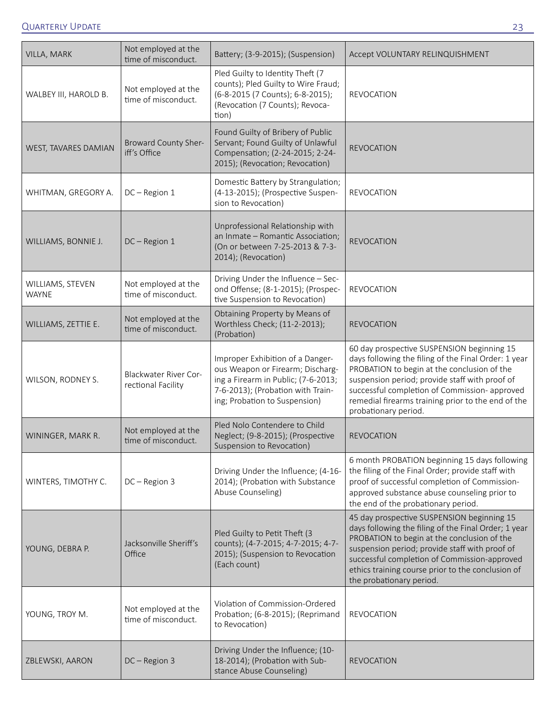| VILLA, MARK                      | Not employed at the<br>time of misconduct.         | Battery; (3-9-2015); (Suspension)                                                                                                                                                 | Accept VOLUNTARY RELINQUISHMENT                                                                                                                                                                                                                                                                                                      |
|----------------------------------|----------------------------------------------------|-----------------------------------------------------------------------------------------------------------------------------------------------------------------------------------|--------------------------------------------------------------------------------------------------------------------------------------------------------------------------------------------------------------------------------------------------------------------------------------------------------------------------------------|
| WALBEY III, HAROLD B.            | Not employed at the<br>time of misconduct.         | Pled Guilty to Identity Theft (7<br>counts); Pled Guilty to Wire Fraud;<br>(6-8-2015 (7 Counts); 6-8-2015);<br>(Revocation (7 Counts); Revoca-<br>tion)                           | <b>REVOCATION</b>                                                                                                                                                                                                                                                                                                                    |
| WEST, TAVARES DAMIAN             | <b>Broward County Sher-</b><br>iff's Office        | Found Guilty of Bribery of Public<br>Servant; Found Guilty of Unlawful<br>Compensation; (2-24-2015; 2-24-<br>2015); (Revocation; Revocation)                                      | <b>REVOCATION</b>                                                                                                                                                                                                                                                                                                                    |
| WHITMAN, GREGORY A.              | $DC - Region 1$                                    | Domestic Battery by Strangulation;<br>(4-13-2015); (Prospective Suspen-<br>sion to Revocation)                                                                                    | <b>REVOCATION</b>                                                                                                                                                                                                                                                                                                                    |
| WILLIAMS, BONNIE J.              | DC-Region 1                                        | Unprofessional Relationship with<br>an Inmate - Romantic Association;<br>(On or between 7-25-2013 & 7-3-<br>2014); (Revocation)                                                   | <b>REVOCATION</b>                                                                                                                                                                                                                                                                                                                    |
| WILLIAMS, STEVEN<br><b>WAYNE</b> | Not employed at the<br>time of misconduct.         | Driving Under the Influence - Sec-<br>ond Offense; (8-1-2015); (Prospec-<br>tive Suspension to Revocation)                                                                        | <b>REVOCATION</b>                                                                                                                                                                                                                                                                                                                    |
| WILLIAMS, ZETTIE E.              | Not employed at the<br>time of misconduct.         | Obtaining Property by Means of<br>Worthless Check; (11-2-2013);<br>(Probation)                                                                                                    | <b>REVOCATION</b>                                                                                                                                                                                                                                                                                                                    |
| WILSON, RODNEY S.                | <b>Blackwater River Cor-</b><br>rectional Facility | Improper Exhibition of a Danger-<br>ous Weapon or Firearm; Discharg-<br>ing a Firearm in Public; (7-6-2013;<br>7-6-2013); (Probation with Train-<br>ing; Probation to Suspension) | 60 day prospective SUSPENSION beginning 15<br>days following the filing of the Final Order: 1 year<br>PROBATION to begin at the conclusion of the<br>suspension period; provide staff with proof of<br>successful completion of Commission- approved<br>remedial firearms training prior to the end of the<br>probationary period.   |
| WININGER, MARK R.                | Not employed at the<br>time of misconduct.         | Pled Nolo Contendere to Child<br>Neglect; (9-8-2015); (Prospective<br>Suspension to Revocation)                                                                                   | <b>REVOCATION</b>                                                                                                                                                                                                                                                                                                                    |
| WINTERS, TIMOTHY C.              | $DC - Region 3$                                    | Driving Under the Influence; (4-16-<br>2014); (Probation with Substance<br>Abuse Counseling)                                                                                      | 6 month PROBATION beginning 15 days following<br>the filing of the Final Order; provide staff with<br>proof of successful completion of Commission-<br>approved substance abuse counseling prior to<br>the end of the probationary period.                                                                                           |
| YOUNG, DEBRA P.                  | Jacksonville Sheriff's<br>Office                   | Pled Guilty to Petit Theft (3<br>counts); (4-7-2015; 4-7-2015; 4-7-<br>2015); (Suspension to Revocation<br>(Each count)                                                           | 45 day prospective SUSPENSION beginning 15<br>days following the filing of the Final Order; 1 year<br>PROBATION to begin at the conclusion of the<br>suspension period; provide staff with proof of<br>successful completion of Commission-approved<br>ethics training course prior to the conclusion of<br>the probationary period. |
| YOUNG, TROY M.                   | Not employed at the<br>time of misconduct.         | Violation of Commission-Ordered<br>Probation; (6-8-2015); (Reprimand<br>to Revocation)                                                                                            | <b>REVOCATION</b>                                                                                                                                                                                                                                                                                                                    |
| ZBLEWSKI, AARON                  | DC-Region 3                                        | Driving Under the Influence; (10-<br>18-2014); (Probation with Sub-<br>stance Abuse Counseling)                                                                                   | <b>REVOCATION</b>                                                                                                                                                                                                                                                                                                                    |